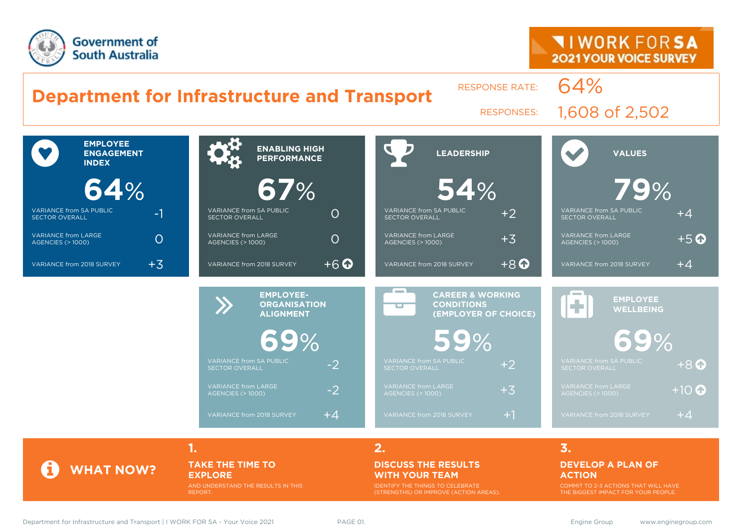

#### **Department for Infrastructure and Transport** RESPONSE RATE: 64% RESPONSES: 1,608 of 2,502  $\bullet$ **EMPLOYEE ENGAGEMENT INDEX 64**% VARIANCE from SA PUBLIC SECTOR OVERALL -1 VARIANCE from LARGE VARIANCE from LARGE  $\bigcirc$  or  $\bigcirc$  or  $\bigcirc$ VARIANCE from 2018 SURVEY  $+3$  **ENABLING HIGH PERFORMANCE 67**% VARIANCE from SA PUBLIC VARIANCE from SA PUBLIC<br>SECTOR OVERALL VARIANCE from LARGE VARIANCE from LARGE  $\bigcirc$  or  $\bigcirc$  or  $\bigcirc$ VARIANCE from 2018 SURVEY  $+6$  **LEADERSHIP 54**% VARIANCE from SA PUBLIC VARIANCE from SA PUBLIC  $+2$ VARIANCE from LARGE VARIANCE from LARGE  $+3$ VARIANCE from 2018 SURVEY  $+8$  **VALUES 79**% VARIANCE from SA PUBLIC VARIANCE from SA PUBLIC  $+4$ VARIANCE from LARGE VARIANCE from LARGE  $+5$  O VARIANCE from 2018 SURVEY  $+4$ EMPLOYEE-<br> **BEMPLOYEE-**<br>
ORGANISAT **ORGANISATION ALIGNMENT 69**% VARIANCE from SA PUBLIC  $\overline{\phantom{a}}$  -2 VARIANCE from LARGE VARIANCE from LARGE<br>AGENCIES (> 1000) VARIANCE from 2018 SURVEY  $+4$ æ **CAREER & WORKING CONDITIONS (EMPLOYER OF CHOICE) 59**% VARIANCE from SA PUBLIC  $\rm +2$ VARIANCE from LARGE<br>AGENCIES (> 1000) +3 VARIANCE from 2018 SURVEY  $+1$ **EMPLOYEE WELLBEING 69**% VARIANCE from SA PUBLIC  $+8\, \bullet$ VARIANCE from LARGE  $+10$ VARIANCE from 2018 SURVEY  $+4$

**1. 2. 3.**

### **TAKE THE TIME TO EXPLORE**

AND UNDERSTAND THE RESULTS IN THIS REPORT.

#### **DISCUSS THE RESULTS WITH YOUR TEAM**

IDENTIFY THE THINGS TO CELEBRATE (STRENGTHS) OR IMPROVE (ACTION AREAS).

#### **DEVELOP A PLAN OF ACTION**

COMMIT TO 2-3 ACTIONS THAT WILL HAVE THE BIGGEST IMPACT FOR YOUR PEOPLE.

**WHAT NOW?**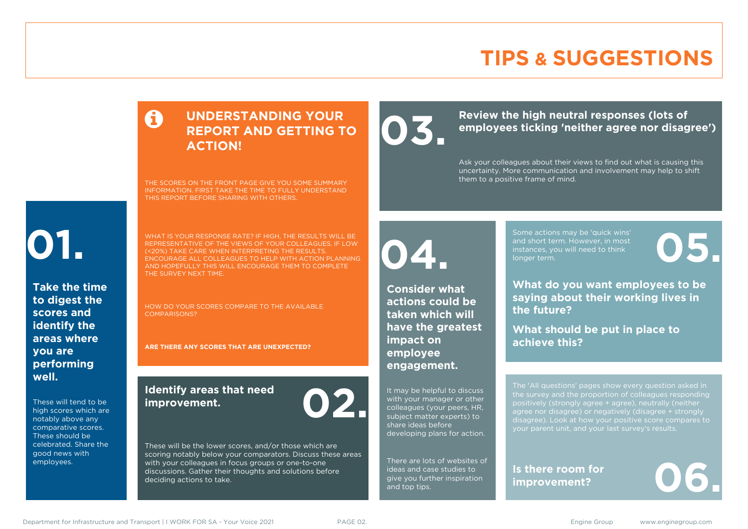# **TIPS & SUGGESTIONS**

### **UNDERSTANDING YOUR REPORT AND GETTING TO ACTION!**

THE SCORES ON THE FRONT PAGE GIVE YOU SOME SUMMARY INFORMATION. FIRST TAKE THE TIME TO FULLY UNDERSTAND THIS REPORT BEFORE SHARING WITH OTHERS.

# **01.**

**Take the time to digest the scores and identify the areas where you are performing well.**

These will tend to be high scores which are notably above any comparative scores. These should be celebrated. Share the good news with employees.

WHAT IS YOUR RESPONSE RATE? IF HIGH, THE RESULTS WILL BE REPRESENTATIVE OF THE VIEWS OF YOUR COLLEAGUES. IF LOW (<20%) TAKE CARE WHEN INTERPRETING THE RESULTS. ENCOURAGE ALL COLLEAGUES TO HELP WITH ACTION PLANNING AND HOPEFULLY THIS WILL ENCOURAGE THEM TO COMPLETE THE SURVEY NEXT TIME.

HOW DO YOUR SCORES COMPARE TO THE AVAILABLE COMPARISONS?

**ARE THERE ANY SCORES THAT ARE UNEXPECTED?**

### **Identify areas that need improvement. 02.**

These will be the lower scores, and/or those which are scoring notably below your comparators. Discuss these areas with your colleagues in focus groups or one-to-one discussions. Gather their thoughts and solutions before deciding actions to take.

**04.**

**impact on employee engagement.**

**Consider what actions could be taken which will have the greatest** 

It may be helpful to discuss with your manager or other colleagues (your peers, HR, subject matter experts) to share ideas before

developing plans for action.

There are lots of websites of ideas and case studies to give you further inspiration

and top tips.

Review the high neutral responses (lots of employees ticking 'neither agree nor disag **employees ticking 'neither agree nor disagree')**

> Ask your colleagues about their views to find out what is causing this uncertainty. More communication and involvement may help to shift them to a positive frame of mind.

> > Some actions may be 'quick wins' and short term. However, in most instances, you will need to think Some actions may be 'quick wins'<br>and short term. However, in most<br>instances, you will need to think<br>longer term.

**What do you want employees to be saying about their working lives in the future?**

**What should be put in place to achieve this?**

The 'All questions' pages show every question asked in positively (strongly agree + agree), neutrally (neither agree nor disagree) or negatively (disagree + strongly disagree). Look at how your positive score compares to your parent unit, and your last survey's results.

**Is there room for**  Is there room for **06.** 

Department for Infrastructure and Transport | I WORK FOR SA - Your Voice 2021 PAGE 02. Engine Stroup Engine Group www.enginegroup.com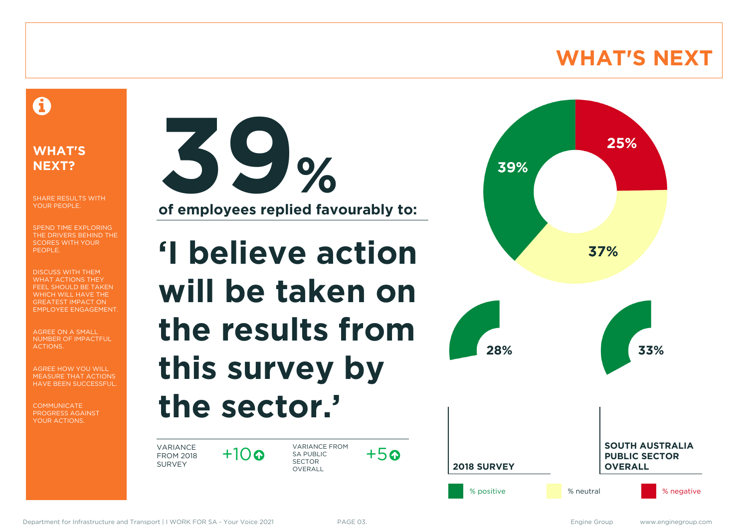# **WHAT'S NEXT**

### A

### **WHAT'S NEXT?**

SHARE RESULTS WITH YOUR PEOPLE.

SPEND TIME EXPLORING THE DRIVERS BEHIND THE SCORES WITH YOUR PEOPLE.

DISCUSS WITH THEM WHAT ACTIONS THEY FEEL SHOULD BE TAKEN WHICH WILL HAVE THE GREATEST IMPACT ON EMPLOYEE ENGAGEMENT.

AGREE ON A SMALL NUMBER OF IMPACTFUL ACTIONS.

AGREE HOW YOU WILL MEASURE THAT ACTIONS HAVE BEEN SUCCESSFUL.

**COMMUNICATE** PROGRESS AGAINST YOUR ACTIONS.



**of employees replied favourably to:**

# **'I believe action will be taken on the results from this survey by the sector.'**

VARIANCE FROM 2018 SURVEY

 $+10$ 

VARIANCE FROM SA PUBLIC SECTOR **OVERALL** 



 $+5a$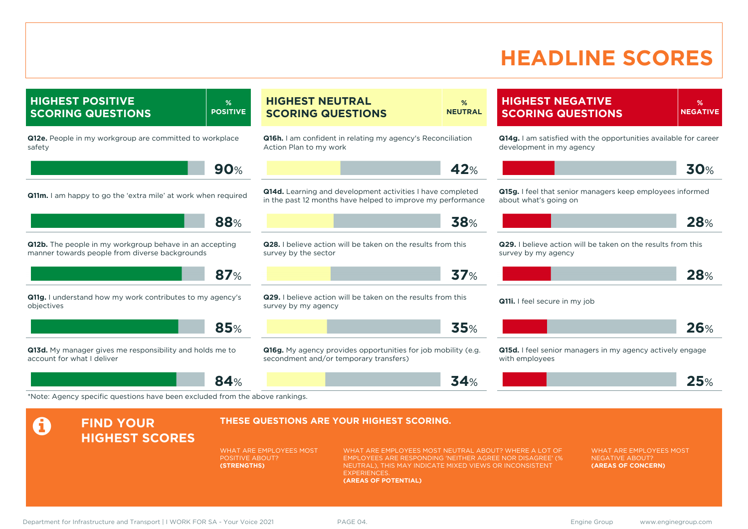# **HEADLINE SCORES**

|                                                                                       |                                                                                                                                                                                                                                                    | %<br><b>NEUTRAL</b>                                                                                                                                                   |                                                                                                                                                                                                                                                                                                                                                                                                                                                                              |                                                                                                                                                                              | %<br><b>NEGATIVE</b>                                                                                                                                                                                                                                                                                                                                                           |
|---------------------------------------------------------------------------------------|----------------------------------------------------------------------------------------------------------------------------------------------------------------------------------------------------------------------------------------------------|-----------------------------------------------------------------------------------------------------------------------------------------------------------------------|------------------------------------------------------------------------------------------------------------------------------------------------------------------------------------------------------------------------------------------------------------------------------------------------------------------------------------------------------------------------------------------------------------------------------------------------------------------------------|------------------------------------------------------------------------------------------------------------------------------------------------------------------------------|--------------------------------------------------------------------------------------------------------------------------------------------------------------------------------------------------------------------------------------------------------------------------------------------------------------------------------------------------------------------------------|
|                                                                                       |                                                                                                                                                                                                                                                    |                                                                                                                                                                       |                                                                                                                                                                                                                                                                                                                                                                                                                                                                              |                                                                                                                                                                              |                                                                                                                                                                                                                                                                                                                                                                                |
|                                                                                       |                                                                                                                                                                                                                                                    | 42%                                                                                                                                                                   |                                                                                                                                                                                                                                                                                                                                                                                                                                                                              |                                                                                                                                                                              | 30%                                                                                                                                                                                                                                                                                                                                                                            |
|                                                                                       |                                                                                                                                                                                                                                                    |                                                                                                                                                                       | about what's going on                                                                                                                                                                                                                                                                                                                                                                                                                                                        |                                                                                                                                                                              |                                                                                                                                                                                                                                                                                                                                                                                |
|                                                                                       |                                                                                                                                                                                                                                                    | 38%                                                                                                                                                                   |                                                                                                                                                                                                                                                                                                                                                                                                                                                                              |                                                                                                                                                                              | 28%                                                                                                                                                                                                                                                                                                                                                                            |
|                                                                                       |                                                                                                                                                                                                                                                    |                                                                                                                                                                       | survey by my agency                                                                                                                                                                                                                                                                                                                                                                                                                                                          |                                                                                                                                                                              |                                                                                                                                                                                                                                                                                                                                                                                |
|                                                                                       |                                                                                                                                                                                                                                                    | 37%                                                                                                                                                                   |                                                                                                                                                                                                                                                                                                                                                                                                                                                                              |                                                                                                                                                                              | 28%                                                                                                                                                                                                                                                                                                                                                                            |
|                                                                                       |                                                                                                                                                                                                                                                    |                                                                                                                                                                       |                                                                                                                                                                                                                                                                                                                                                                                                                                                                              |                                                                                                                                                                              |                                                                                                                                                                                                                                                                                                                                                                                |
|                                                                                       |                                                                                                                                                                                                                                                    | 35%                                                                                                                                                                   |                                                                                                                                                                                                                                                                                                                                                                                                                                                                              |                                                                                                                                                                              | <b>26%</b>                                                                                                                                                                                                                                                                                                                                                                     |
|                                                                                       |                                                                                                                                                                                                                                                    |                                                                                                                                                                       | with employees                                                                                                                                                                                                                                                                                                                                                                                                                                                               |                                                                                                                                                                              |                                                                                                                                                                                                                                                                                                                                                                                |
|                                                                                       |                                                                                                                                                                                                                                                    | 34%                                                                                                                                                                   |                                                                                                                                                                                                                                                                                                                                                                                                                                                                              |                                                                                                                                                                              | 25%                                                                                                                                                                                                                                                                                                                                                                            |
|                                                                                       |                                                                                                                                                                                                                                                    |                                                                                                                                                                       |                                                                                                                                                                                                                                                                                                                                                                                                                                                                              |                                                                                                                                                                              |                                                                                                                                                                                                                                                                                                                                                                                |
|                                                                                       |                                                                                                                                                                                                                                                    |                                                                                                                                                                       |                                                                                                                                                                                                                                                                                                                                                                                                                                                                              |                                                                                                                                                                              |                                                                                                                                                                                                                                                                                                                                                                                |
|                                                                                       | EXPERIENCES.                                                                                                                                                                                                                                       |                                                                                                                                                                       |                                                                                                                                                                                                                                                                                                                                                                                                                                                                              | <b>WHAT ARE EMPLOYEES MOST</b><br><b>NEGATIVE ABOUT?</b><br>(AREAS OF CONCERN)                                                                                               |                                                                                                                                                                                                                                                                                                                                                                                |
| 88%<br>87%<br>Q11g. I understand how my work contributes to my agency's<br>85%<br>84% | <b>POSITIVE</b><br>90%<br><b>Q11m.</b> I am happy to go the 'extra mile' at work when required<br>*Note: Agency specific questions have been excluded from the above rankings.<br>WHAT ARE EMPLOYEES MOST<br><b>POSITIVE ABOUT?</b><br>(STRENGTHS) | <b>HIGHEST NEUTRAL</b><br><b>SCORING QUESTIONS</b><br>Action Plan to my work<br>survey by the sector<br>survey by my agency<br>secondment and/or temporary transfers) | <b>Q16h.</b> I am confident in relating my agency's Reconciliation<br>Q14d. Learning and development activities I have completed<br>in the past 12 months have helped to improve my performance<br>Q28. I believe action will be taken on the results from this<br>Q29. I believe action will be taken on the results from this<br><b>Q16g.</b> My agency provides opportunities for job mobility (e.g.<br>THESE QUESTIONS ARE YOUR HIGHEST SCORING.<br>(AREAS OF POTENTIAL) | WHAT ARE EMPLOYEES MOST NEUTRAL ABOUT? WHERE A LOT OF<br>EMPLOYEES ARE RESPONDING 'NEITHER AGREE NOR DISAGREE' (%<br>NEUTRAL), THIS MAY INDICATE MIXED VIEWS OR INCONSISTENT | <b>HIGHEST NEGATIVE</b><br><b>SCORING QUESTIONS</b><br>Q14g. I am satisfied with the opportunities available for career<br>development in my agency<br>Q15g. I feel that senior managers keep employees informed<br>Q29. I believe action will be taken on the results from this<br>Q11i. I feel secure in my job<br>Q15d. I feel senior managers in my agency actively engage |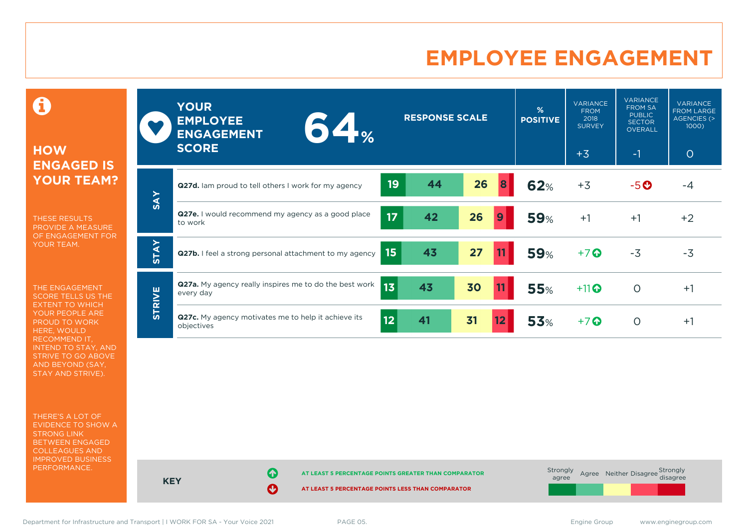# **EMPLOYEE ENGAGEMENT**

0

### **HOW ENGAGED IS YOUR TEAM?**

THESE RESULTS PROVIDE A MEASURE OF ENGAGEMENT FOR YOUR TEAM.

THE ENGAGEMENT SCORE TELLS US THE EXTENT TO WHICH YOUR PEOPLE ARE PROUD TO WORK HERE, WOULD RECOMMEND IT, INTEND TO STAY, AND STRIVE TO GO ABOVE AND BEYOND (SAY, STAY AND STRIVE).

THERE'S A LOT OF EVIDENCE TO SHOW A STRONG LINK BETWEEN ENGAGED COLLEAGUES AND IMPROVED BUSINESS PERFORMANCE.

|               | <b>YOUR</b><br><b>EMPLOYEE</b><br>$64 -$<br><b>ENGAGEMENT</b><br><b>SCORE</b>          | <b>RESPONSE SCALE</b> | %<br><b>POSITIVE</b> | <b>VARIANCE</b><br><b>FROM</b><br>2018<br><b>SURVEY</b><br>$+3$ | <b>VARIANCE</b><br><b>FROM SA</b><br><b>PUBLIC</b><br><b>SECTOR</b><br>OVERALL<br>$-1$ | <b>VARIANCE</b><br><b>FROM LARGE</b><br>AGENCIES (><br>$1000$ )<br>$\circ$ |
|---------------|----------------------------------------------------------------------------------------|-----------------------|----------------------|-----------------------------------------------------------------|----------------------------------------------------------------------------------------|----------------------------------------------------------------------------|
|               |                                                                                        |                       |                      |                                                                 |                                                                                        |                                                                            |
| <b>SAY</b>    | Q27d. Iam proud to tell others I work for my agency                                    | 26<br>19<br>44        | 62%                  | $+3$                                                            | $-5$ $\odot$                                                                           | -4                                                                         |
|               | <b>Q27e.</b> I would recommend my agency as a good place<br>to work                    | 17<br>26<br>42<br>9   | <b>59%</b>           | $+1$                                                            | $+1$                                                                                   | $+2$                                                                       |
| <b>STAY</b>   | Q27b. I feel a strong personal attachment to my agency                                 | 43<br>15<br>27        | <b>59%</b>           | $+7$                                                            | $-3$                                                                                   | $-3$                                                                       |
| <b>STRIVE</b> | Q27a. My agency really inspires me to do the best work<br>13 <sub>1</sub><br>every day | 43<br>30<br>11        | <b>55%</b>           | $+11$                                                           | $\Omega$                                                                               | $+1$                                                                       |
|               | Q27c. My agency motivates me to help it achieve its<br>12 <sub>2</sub><br>objectives   | 31<br>41<br>12        | <b>53%</b>           | $+7$                                                            | $\circ$                                                                                | $+1$                                                                       |

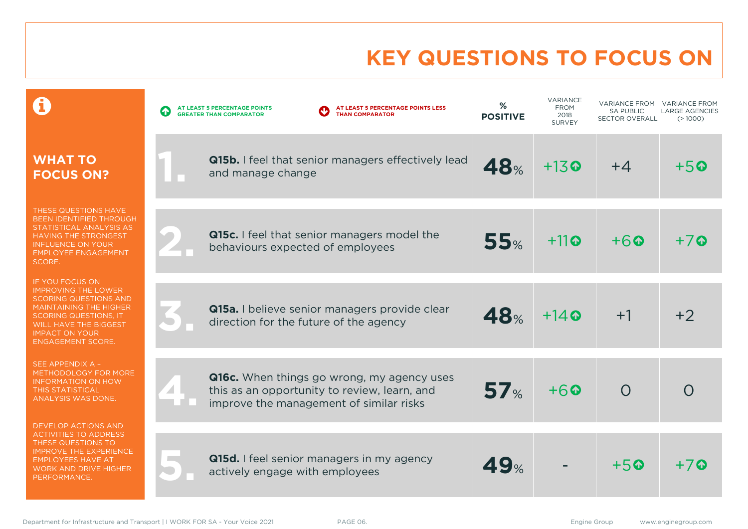# **KEY QUESTIONS TO FOCUS ON**

|                                                                                                                                                                                                                                     | AT LEAST 5 PERCENTAGE POINTS LESS<br>AT LEAST 5 PERCENTAGE POINTS<br>$\bullet$<br><b>THAN COMPARATOR</b><br><b>GREATER THAN COMPARATOR</b> | %<br><b>POSITIVE</b> | VARIANCE<br><b>FROM</b><br>2018<br><b>SURVEY</b> | <b>VARIANCE FROM</b><br><b>SA PUBLIC</b><br><b>SECTOR OVERALL</b> | <b>VARIANCE FROM</b><br><b>LARGE AGENCIES</b><br>(>1000) |
|-------------------------------------------------------------------------------------------------------------------------------------------------------------------------------------------------------------------------------------|--------------------------------------------------------------------------------------------------------------------------------------------|----------------------|--------------------------------------------------|-------------------------------------------------------------------|----------------------------------------------------------|
| <b>WHAT TO</b><br><b>FOCUS ON?</b>                                                                                                                                                                                                  | Q15b. I feel that senior managers effectively lead<br>and manage change                                                                    | 48%                  | $+13$ <sup><math>\odot</math></sup>              | $+4$                                                              | $+50$                                                    |
| THESE QUESTIONS HAVE<br><b>BEEN IDENTIFIED THROUGH</b><br>STATISTICAL ANALYSIS AS<br><b>HAVING THE STRONGEST</b><br><b>INFLUENCE ON YOUR</b><br><b>EMPLOYEE ENGAGEMENT</b><br>SCORE.                                                | Q15c. I feel that senior managers model the<br>behaviours expected of employees                                                            | 55%                  | $+11$ <sup>o</sup>                               | $+6$                                                              | $+7$                                                     |
| IF YOU FOCUS ON<br><b>IMPROVING THE LOWER</b><br><b>SCORING QUESTIONS AND</b><br><b>MAINTAINING THE HIGHER</b><br><b>SCORING QUESTIONS, IT</b><br><b>WILL HAVE THE BIGGEST</b><br><b>IMPACT ON YOUR</b><br><b>ENGAGEMENT SCORE.</b> | Q15a. I believe senior managers provide clear<br>direction for the future of the agency                                                    | <b>48%</b>           | $+14$ $\odot$                                    | $+1$                                                              | $+2$                                                     |
| SEE APPENDIX A -<br>METHODOLOGY FOR MORE<br><b>INFORMATION ON HOW</b><br><b>THIS STATISTICAL</b><br><b>ANALYSIS WAS DONE.</b>                                                                                                       | Q16c. When things go wrong, my agency uses<br>this as an opportunity to review, learn, and<br>improve the management of similar risks      | 57 <sub>%</sub>      | $+60$                                            | $\Omega$                                                          |                                                          |
| <b>DEVELOP ACTIONS AND</b><br><b>ACTIVITIES TO ADDRESS</b><br>THESE QUESTIONS TO<br><b>IMPROVE THE EXPERIENCE</b><br><b>EMPLOYEES HAVE AT</b><br><b>WORK AND DRIVE HIGHER</b><br>PERFORMANCE.                                       | Q15d. I feel senior managers in my agency<br>actively engage with employees                                                                | <b>49%</b>           |                                                  | $+50$                                                             | $+7$ Q                                                   |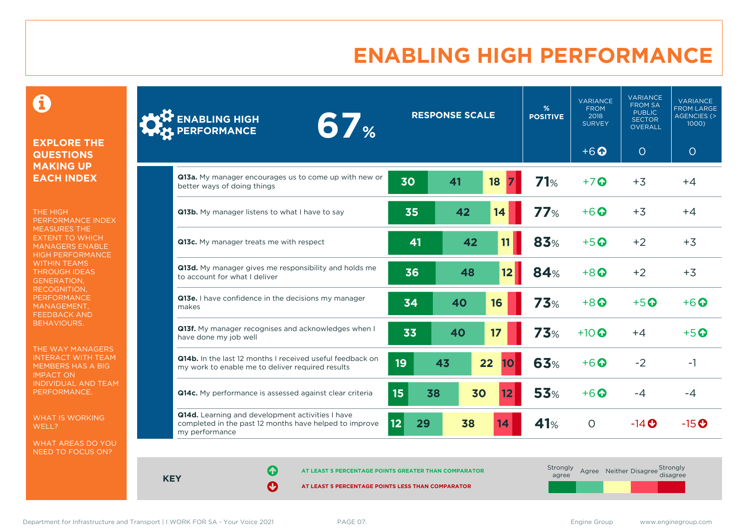# **ENABLING HIGH PERFORMANCE**

 $\mathbf \Theta$ 

### **EXPLORE THE QUESTIONS MAKING UP EACH INDEX**

THE HIGH PERFORMANCE INDEX MEASURES THE EXTENT TO WHICH MANAGERS ENABLE HIGH PERFORMANCE WITHIN TEAMS THROUGH IDEAS GENERATION, RECOGNITION, **PERFORMANCE** MANAGEMENT, FEEDBACK AND BEHAVIOURS.

THE WAY MANAGERS INTERACT WITH TEAM MEMBERS HAS A BIG IMPACT ON INDIVIDUAL AND TEAM PERFORMANCE.

WHAT IS WORKING WELL?

WHAT AREAS DO YOU NEED TO FOCUS ON?

| <b>ENABLING HIGH</b><br><b>67%</b><br>PERFORMANCE                                                                            |                  | <b>RESPONSE SCALE</b> |                   |            | <b>VARIANCE</b><br><b>FROM</b><br>2018<br><b>SURVEY</b> | <b>VARIANCE</b><br><b>FROM SA</b><br><b>PUBLIC</b><br><b>SECTOR</b><br>OVERALL | <b>VARIANCE</b><br><b>FROM LARGE</b><br><b>AGENCIES (&gt;</b><br>1000) |
|------------------------------------------------------------------------------------------------------------------------------|------------------|-----------------------|-------------------|------------|---------------------------------------------------------|--------------------------------------------------------------------------------|------------------------------------------------------------------------|
|                                                                                                                              |                  |                       |                   |            | $+6$ <sup><math>\odot</math></sup>                      | O                                                                              | $\circ$                                                                |
| Q13a. My manager encourages us to come up with new or<br>better ways of doing things                                         | 30               | 41                    | 18                | 71%        | $+7$ $\odot$                                            | $+3$                                                                           | $+4$                                                                   |
| Q13b. My manager listens to what I have to say                                                                               | 35               | 42                    | 14                | 77%        | $+6$ $\odot$                                            | $+3$                                                                           | $+4$                                                                   |
| Q13c. My manager treats me with respect                                                                                      | 41               | 42                    | 11                | 83%        | $+5$ <sup><math>\odot</math></sup>                      | $+2$                                                                           | $+3$                                                                   |
| Q13d. My manager gives me responsibility and holds me<br>to account for what I deliver                                       | 36               | 48                    | 12 <sub>2</sub>   | 84%        | $+8$ <sup>O</sup>                                       | $+2$                                                                           | $+3$                                                                   |
| Q13e. I have confidence in the decisions my manager<br>makes                                                                 | 34               | 40                    | 16                | 73%        | $+8$ <sup><math>\odot</math></sup>                      | $+5$ <sup><math>\odot</math></sup>                                             | $+6$ $\odot$                                                           |
| Q13f. My manager recognises and acknowledges when I<br>have done my job well                                                 | 33               | 40                    | 17                | <b>73%</b> | $+10$ $\odot$                                           | $+4$                                                                           | $+5$ <sup>O</sup>                                                      |
| Q14b. In the last 12 months I received useful feedback on<br>my work to enable me to deliver required results                | 19               | 43                    | 22<br>10          | 63%        | $+6$ $\odot$                                            | $-2$                                                                           | $-1$                                                                   |
| Q14c. My performance is assessed against clear criteria                                                                      | 15 <sub>15</sub> | 38<br>30              | $12 \overline{ }$ | 53%        | $+6$ $\odot$                                            | $-4$                                                                           | $-4$                                                                   |
| Q14d. Learning and development activities I have<br>completed in the past 12 months have helped to improve<br>my performance | 12<br>29         | 38                    | 14                | 41%        | $\circ$                                                 | $-14$ $\odot$                                                                  | $-15$ <sup>O</sup>                                                     |

**AT LEAST 5 PERCENTAGE POINTS GREATER THAN COMPARATOR** 

**AT LEAST 5 PERCENTAGE POINTS LESS THAN COMPARATOR** 

| Strongly<br>agree | Agree Neither Disagree Strongly<br>disagree |  |
|-------------------|---------------------------------------------|--|
|                   |                                             |  |

Department for Infrastructure and Transport | I WORK FOR SA - Your Voice 2021 PAGE 07. Engine Group Engine Group www.enginegroup.com

**KEY**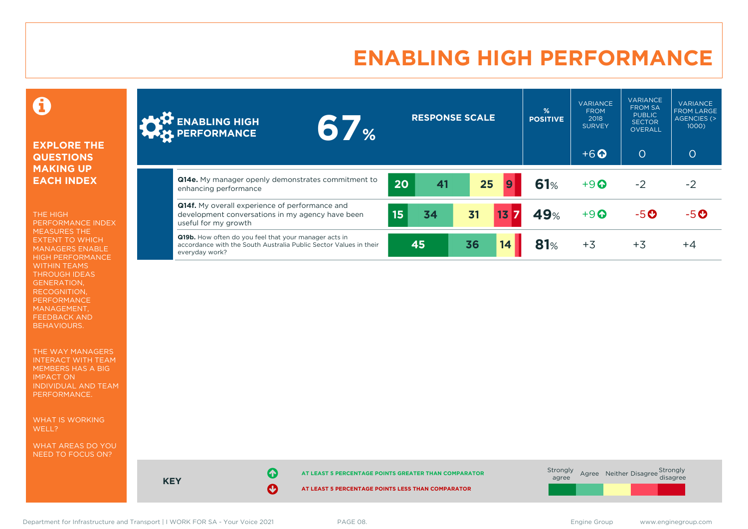# **ENABLING HIGH PERFORMANCE**

### Ô

#### **EXPLORE THE QUESTIONS MAKING UP EACH INDEX**

THE HIGH PERFORMANCE INDEX MEASURES THE EXTENT TO WHICH MANAGERS ENABLE HIGH PERFORMANCE WITHIN TEAMS THROUGH IDEAS GENERATION, RECOGNITION, PERFORMANCE MANAGEMENT, FEEDBACK AND BEHAVIOURS.

THE WAY MANAGERS INTERACT WITH TEAM MEMBERS HAS A BIG IMPACT ON INDIVIDUAL AND TEAM PERFORMANCE.

WHAT IS WORKING WELL?

WHAT AREAS DO YOU NEED TO FOCUS ON?

| <b>AND ENABLING HIGH</b><br>6 7 %                                                                                                                   |                  | <b>RESPONSE SCALE</b> |    |                  | %<br><b>POSITIVE</b> | <b>VARIANCE</b><br><b>FROM</b><br>2018<br><b>SURVEY</b> | <b>VARIANCE</b><br><b>FROM SA</b><br><b>PUBLIC</b><br><b>SECTOR</b><br><b>OVERALL</b> | <b>VARIANCE</b><br><b>FROM LARGE</b><br><b>AGENCIES (&gt;</b><br>1000) |
|-----------------------------------------------------------------------------------------------------------------------------------------------------|------------------|-----------------------|----|------------------|----------------------|---------------------------------------------------------|---------------------------------------------------------------------------------------|------------------------------------------------------------------------|
|                                                                                                                                                     |                  |                       |    |                  |                      | $+6$ $\odot$                                            | $\overline{O}$                                                                        | $\overline{O}$                                                         |
| Q14e. My manager openly demonstrates commitment to<br>enhancing performance                                                                         | 20               | 41                    | 25 | $\overline{9}$   | 61%                  | $+9$                                                    | $-2$                                                                                  | -2                                                                     |
| <b>Q14f.</b> My overall experience of performance and<br>development conversations in my agency have been<br>useful for my growth                   | 15 <sub>15</sub> | 34                    | 31 | $13\overline{7}$ | 49%                  | $+9$                                                    | $-5$ $\odot$                                                                          | $-5$ $\odot$                                                           |
| <b>Q19b.</b> How often do you feel that your manager acts in<br>accordance with the South Australia Public Sector Values in their<br>everyday work? |                  | 45                    | 36 | 14               | 81%                  | $+3$                                                    | $+3$                                                                                  | $+4$                                                                   |

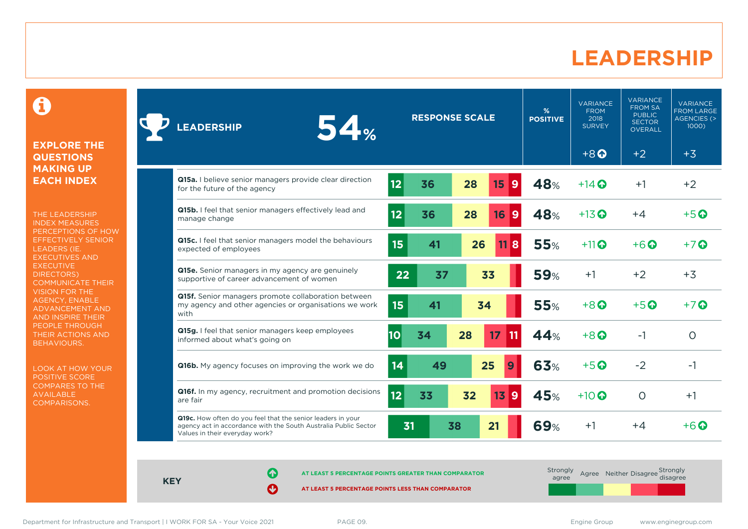### **LEADERSHIP**

0

#### **EXPLORE THE QUESTIONS MAKING UP EACH INDEX**

THE LEADERSHIP INDEX MEASURES PERCEPTIONS OF HOW EFFECTIVELY SENIOR LEADERS (IE. EXECUTIVES AND **EXECUTIVE** DIRECTORS) COMMUNICATE THEIR VISION FOR THE AGENCY, ENABLE ADVANCEMENT AND AND INSPIRE THEIR PEOPLE THROUGH THEIR ACTIONS AND BEHAVIOURS.

LOOK AT HOW YOUR POSITIVE SCORE COMPARES TO THE AVAILABLE COMPARISONS.

| 54%<br><b>LEADERSHIP</b>                                                                                                                                         | <b>RESPONSE SCALE</b> |    |    | %<br><b>POSITIVE</b>            | <b>VARIANCE</b><br><b>FROM</b><br>2018<br><b>SURVEY</b> | <b>VARIANCE</b><br><b>FROM SA</b><br><b>PUBLIC</b><br><b>SECTOR</b><br><b>OVERALL</b> | <b>VARIANCE</b><br><b>FROM LARGE</b><br><b>AGENCIES (&gt;</b><br>1000) |                   |
|------------------------------------------------------------------------------------------------------------------------------------------------------------------|-----------------------|----|----|---------------------------------|---------------------------------------------------------|---------------------------------------------------------------------------------------|------------------------------------------------------------------------|-------------------|
|                                                                                                                                                                  |                       |    |    |                                 |                                                         | $+8$ <sup><math>\odot</math></sup>                                                    | $+2$                                                                   | $+3$              |
| Q15a. I believe senior managers provide clear direction<br>for the future of the agency                                                                          | 12                    | 36 | 28 | 9<br>15                         | 48%                                                     | $+14$ $\odot$                                                                         | $+1$                                                                   | $+2$              |
| Q15b. I feel that senior managers effectively lead and<br>manage change                                                                                          | 12                    | 36 | 28 | 16<br>9                         | 48%                                                     | $+13$ <sup>O</sup>                                                                    | $+4$                                                                   | $+5$ <sup>O</sup> |
| Q15c. I feel that senior managers model the behaviours<br>expected of employees                                                                                  | 15                    | 41 | 26 | 8<br>11                         | <b>55%</b>                                              | $+11$                                                                                 | $+6$ $\odot$                                                           | $+7$ $\odot$      |
| Q15e. Senior managers in my agency are genuinely<br>supportive of career advancement of women                                                                    | 22                    | 37 |    | 33                              | <b>59%</b>                                              | $+1$                                                                                  | $+2$                                                                   | $+3$              |
| Q15f. Senior managers promote collaboration between<br>my agency and other agencies or organisations we work<br>with                                             | 15 <sub>15</sub>      | 41 |    | 34                              | <b>55%</b>                                              | $+8$ $\Omega$                                                                         | $+5$ <sup><math>\odot</math></sup>                                     | $+7$ $\odot$      |
| Q15g. I feel that senior managers keep employees<br>informed about what's going on                                                                               | 10                    | 34 | 28 | 17<br>11                        | 44%                                                     | $+8$ $\Omega$                                                                         | $-1$                                                                   | O                 |
| <b>Q16b.</b> My agency focuses on improving the work we do                                                                                                       | 14                    | 49 |    | 25<br>9                         | 63%                                                     | $+5$ $\odot$                                                                          | $-2$                                                                   | $-1$              |
| Q16f. In my agency, recruitment and promotion decisions<br>are fair                                                                                              | 12                    | 33 | 32 | $\mathbf{9}$<br>13 <sub>1</sub> | 45%                                                     | $+10$ $\odot$                                                                         | $\circ$                                                                | $+1$              |
| Q19c. How often do you feel that the senior leaders in your<br>agency act in accordance with the South Australia Public Sector<br>Values in their everyday work? | 31                    |    | 38 | 21                              | <b>69%</b>                                              | $+1$                                                                                  | $+4$                                                                   | $+6$ $\Omega$     |

**KEY**

**AT LEAST 5 PERCENTAGE POINTS GREATER THAN COMPARATOR**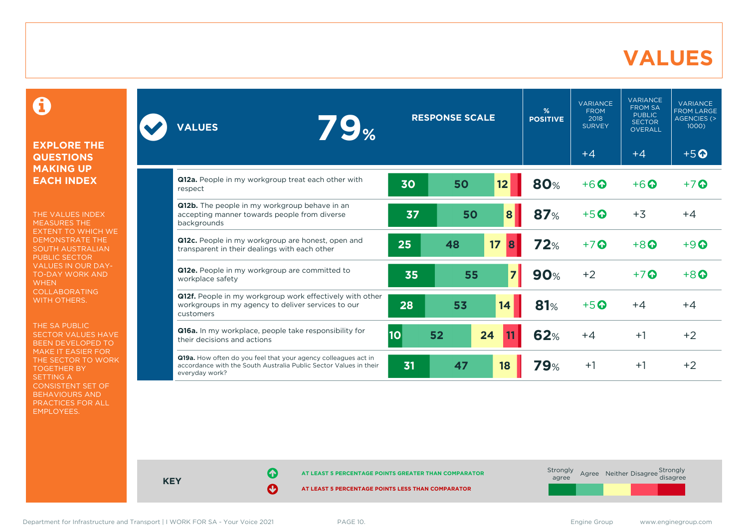### **VALUES**

0

#### **EXPLORE THE QUESTIONS MAKING UP EACH INDEX**

THE VALUES INDEX MEASURES THE EXTENT TO WHICH WE DEMONSTRATE THE SOUTH AUSTRALIAN PUBLIC SECTOR VALUES IN OUR DAY-TO-DAY WORK AND **WHEN** COLLABORATING WITH OTHERS.

THE SA PUBLIC SECTOR VALUES HAVE BEEN DEVELOPED TO MAKE IT EASIER FOR THE SECTOR TO WORK TOGETHER BY SETTING A CONSISTENT SET OF BEHAVIOURS AND PRACTICES FOR ALL EMPLOYEES.

| <b>79%</b><br><b>VALUES</b>                                                                                                                           | <b>RESPONSE SCALE</b> |    | $\frac{9}{6}$<br><b>POSITIVE</b> | <b>VARIANCE</b><br><b>FROM</b><br>2018<br><b>SURVEY</b> | <b>VARIANCE</b><br><b>FROM SA</b><br><b>PUBLIC</b><br><b>SECTOR</b><br><b>OVERALL</b> | <b>VARIANCE</b><br><b>FROM LARGE</b><br>AGENCIES (><br>$1000$ ) |                                    |
|-------------------------------------------------------------------------------------------------------------------------------------------------------|-----------------------|----|----------------------------------|---------------------------------------------------------|---------------------------------------------------------------------------------------|-----------------------------------------------------------------|------------------------------------|
|                                                                                                                                                       |                       |    |                                  |                                                         | $+4$                                                                                  | $+4$                                                            | $+5$ <sup><math>\odot</math></sup> |
| Q12a. People in my workgroup treat each other with<br>respect                                                                                         | 30                    | 50 | 12                               | <b>80%</b>                                              | $+6$ $\odot$                                                                          | $+6$ $\odot$                                                    | $+7$ $\odot$                       |
| Q12b. The people in my workgroup behave in an<br>accepting manner towards people from diverse<br>backgrounds                                          | 37                    | 50 | 8                                | 87%                                                     | $+5$ <sup>O</sup>                                                                     | $+3$                                                            | $+4$                               |
| Q12c. People in my workgroup are honest, open and<br>transparent in their dealings with each other                                                    | 25                    | 48 | 17<br>8                          | 72%                                                     | $+7$ $\odot$                                                                          | $+8$ <sup><math>\odot</math></sup>                              | $+9$ $\odot$                       |
| Q12e. People in my workgroup are committed to<br>workplace safety                                                                                     | 35                    | 55 | 7                                | <b>90%</b>                                              | $+2$                                                                                  | $+7$ $\odot$                                                    | $+8$ <sup><math>\odot</math></sup> |
| Q12f. People in my workgroup work effectively with other<br>workgroups in my agency to deliver services to our<br>customers                           | 28                    | 53 | 14                               | 81%                                                     | $+5$ <sup>O</sup>                                                                     | $+4$                                                            | $+4$                               |
| Q16a. In my workplace, people take responsibility for<br>their decisions and actions                                                                  | <b>10</b>             | 52 | 24                               | 62%                                                     | $+4$                                                                                  | $+1$                                                            | $+2$                               |
| Q19a. How often do you feel that your agency colleagues act in<br>accordance with the South Australia Public Sector Values in their<br>everyday work? | 31                    | 47 | 18                               | <b>79%</b>                                              | $+1$                                                                                  | $+1$                                                            | $+2$                               |

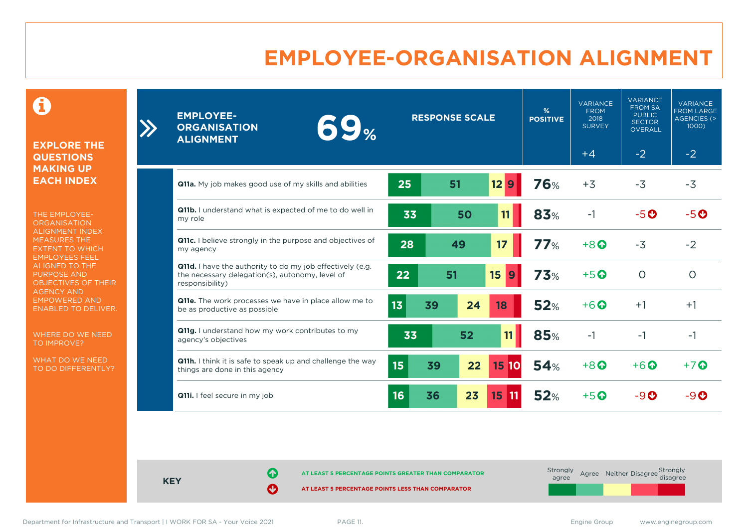# **EMPLOYEE-ORGANISATION ALIGNMENT**

0

**EXPLORE THE QUESTIONS MAKING UP EACH INDEX**

THE EMPLOYEE-**ORGANISATION** ALIGNMENT INDEX MEASURES THE EXTENT TO WHICH EMPLOYEES FEEL ALIGNED TO THE PURPOSE AND OBJECTIVES OF THEIR AGENCY AND EMPOWERED AND ENABLED TO DELIVER.

WHERE DO WE NEED TO IMPROVE?

WHAT DO WE NEED TO DO DIFFERENTLY?

| <b>EMPLOYEE-</b><br>69 <sub>%</sub><br><b>ORGANISATION</b><br><b>ALIGNMENT</b>                                                         | <b>RESPONSE SCALE</b> |    |           | %<br><b>POSITIVE</b> | <b>VARIANCE</b><br><b>FROM</b><br>2018<br><b>SURVEY</b><br>$+4$ | <b>VARIANCE</b><br><b>FROM SA</b><br><b>PUBLIC</b><br><b>SECTOR</b><br><b>OVERALL</b><br>$-2$ | <b>VARIANCE</b><br><b>FROM LARGE</b><br><b>AGENCIES (&gt;</b><br>1000)<br>$-2$ |
|----------------------------------------------------------------------------------------------------------------------------------------|-----------------------|----|-----------|----------------------|-----------------------------------------------------------------|-----------------------------------------------------------------------------------------------|--------------------------------------------------------------------------------|
| <b>Q11a.</b> My job makes good use of my skills and abilities                                                                          | 25                    | 51 | 12<br>9   | <b>76%</b>           | $+3$                                                            | $-3$                                                                                          | $-3$                                                                           |
| Q11b. I understand what is expected of me to do well in<br>my role                                                                     | 33                    | 50 | 11        | 83%                  | $-1$                                                            | $-5o$                                                                                         | $-5o$                                                                          |
| Q11c. I believe strongly in the purpose and objectives of<br>my agency                                                                 | 28                    | 49 | 17        | 77%                  | $+8$ <sup><math>\odot</math></sup>                              | $-3$                                                                                          | $-2$                                                                           |
| <b>Q11d.</b> I have the authority to do my job effectively (e.g.<br>the necessary delegation(s), autonomy, level of<br>responsibility) | 22                    | 51 | 15<br>9   | 73%                  | $+5$ <sup>O</sup>                                               | $\circ$                                                                                       | $\circ$                                                                        |
| Q11e. The work processes we have in place allow me to<br>be as productive as possible                                                  | 13<br>39              | 24 | 18        | 52%                  | $+6$ <sup><math>\odot</math></sup>                              | $+1$                                                                                          | $+1$                                                                           |
| Q11g. I understand how my work contributes to my<br>agency's objectives                                                                | 33                    | 52 | 11        | <b>85%</b>           | $-1$                                                            | -1                                                                                            | $-1$                                                                           |
| Q11h. I think it is safe to speak up and challenge the way<br>things are done in this agency                                           | 15 <sub>2</sub><br>39 | 22 | 15<br>10  | 54%                  | $+8$ <sup><math>\Omega</math></sup>                             | $+6$ $\odot$                                                                                  | $+7$ $\odot$                                                                   |
| Q11i. I feel secure in my job                                                                                                          | 16<br>36              | 23 | 15<br> 11 | 52%                  | $+5$ $\odot$                                                    | -90                                                                                           | -90                                                                            |

**KEY**

**AT LEAST 5 PERCENTAGE POINTS GREATER THAN COMPARATOR** 

**AT LEAST 5 PERCENTAGE POINTS LESS THAN COMPARATOR** 

 $\sum$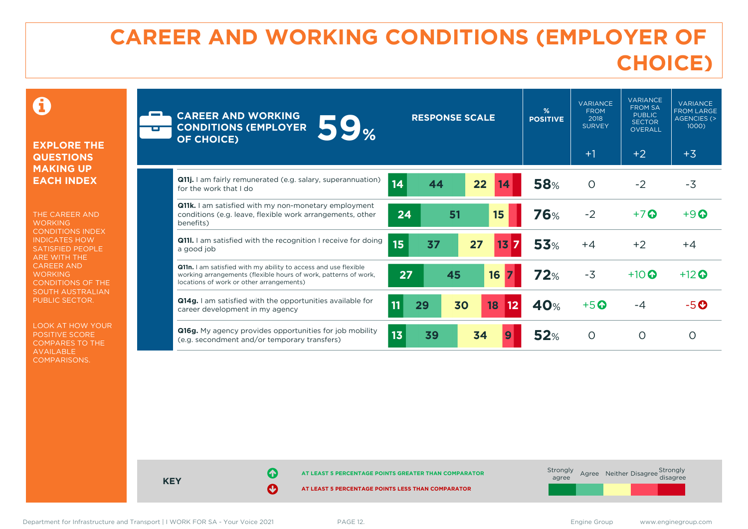# **CAREER AND WORKING CONDITIONS (EMPLOYER OF CHOICE)**

 $\mathbf \Omega$ 

#### **EXPLORE THE QUESTIONS MAKING UP EACH INDEX**

THE CAREER AND **WORKING** CONDITIONS INDEX INDICATES HOW SATISFIED PEOPLE ARE WITH THE CAREER AND **WORKING** CONDITIONS OF THE SOUTH AUSTRALIAN PUBLIC SECTOR.

LOOK AT HOW YOUR POSITIVE SCORE COMPARES TO THE AVAILABLE COMPARISONS.

| <b>CAREER AND WORKING</b><br><b>59%</b><br><b>CONDITIONS (EMPLOYER</b><br><b>OF CHOICE)</b>                                                                                    | <b>RESPONSE SCALE</b>       | %<br><b>POSITIVE</b> | <b>VARIANCE</b><br><b>FROM</b><br>2018<br><b>SURVEY</b><br>$+1$ | <b>VARIANCE</b><br><b>FROM SA</b><br><b>PUBLIC</b><br><b>SECTOR</b><br><b>OVERALL</b><br>$+2$ | <b>VARIANCE</b><br><b>FROM LARGE</b><br><b>AGENCIES (&gt;</b><br>1000)<br>$+3$ |
|--------------------------------------------------------------------------------------------------------------------------------------------------------------------------------|-----------------------------|----------------------|-----------------------------------------------------------------|-----------------------------------------------------------------------------------------------|--------------------------------------------------------------------------------|
| <b>Q11j.</b> I am fairly remunerated (e.g. salary, superannuation)<br>for the work that I do                                                                                   | 14<br>22<br>44<br>14        | <b>58%</b>           | $\circ$                                                         | $-2$                                                                                          | $-3$                                                                           |
| <b>Q11k.</b> I am satisfied with my non-monetary employment<br>conditions (e.g. leave, flexible work arrangements, other<br>benefits)                                          | 51<br>24<br>15              | <b>76%</b>           | $-2$                                                            | $+7$ $\odot$                                                                                  | $+9$ $\odot$                                                                   |
| <b>Q11I.</b> I am satisfied with the recognition I receive for doing<br>a good job                                                                                             | 15<br>37<br>27<br>13<br>7   | <b>53%</b>           | $+4$                                                            | $+2$                                                                                          | $+4$                                                                           |
| Q11n. I am satisfied with my ability to access and use flexible<br>working arrangements (flexible hours of work, patterns of work,<br>locations of work or other arrangements) | 16<br>27<br>45              | 72%                  | $-3$                                                            | $+10$ $\odot$                                                                                 | $+12$ <sup>O</sup>                                                             |
| <b>Q14g.</b> I am satisfied with the opportunities available for<br>career development in my agency                                                                            | 11<br>29<br>30<br>18<br> 12 | 40%                  | $+5$ <sup>O</sup>                                               | $-4$                                                                                          | $-5$ $\odot$                                                                   |
| Q16g. My agency provides opportunities for job mobility<br>(e.g. secondment and/or temporary transfers)                                                                        | 13<br>34<br>39              | 52%                  | $\Omega$                                                        | $\circ$                                                                                       | $\Omega$                                                                       |

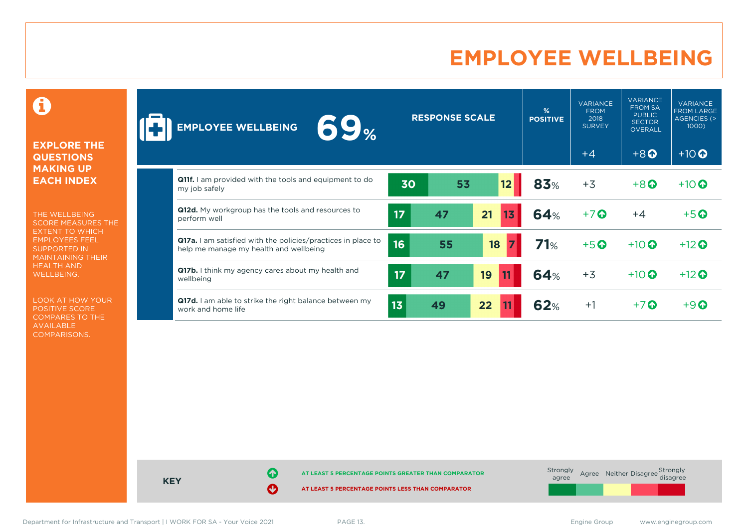# **EMPLOYEE WELLBEING**

0

#### **EXPLORE THE QUESTIONS MAKING UP EACH INDEX**

THE WELLBEING SCORE MEASURES THE EXTENT TO WHICH EMPLOYEES FEEL SUPPORTED IN MAINTAINING THEIR HEALTH AND WELLBEING.

LOOK AT HOW YOUR POSITIVE SCORE COMPARES TO THE AVAILABLE COMPARISONS.

| 69 <sub>%</sub><br><b>EMPLOYEE WELLBEING</b>                                                                  |                 | <b>RESPONSE SCALE</b> |          | %<br><b>POSITIVE</b> | <b>VARIANCE</b><br><b>FROM</b><br>2018<br><b>SURVEY</b> | <b>VARIANCE</b><br><b>FROM SA</b><br><b>PUBLIC</b><br><b>SECTOR</b><br>OVERALL | <b>VARIANCE</b><br><b>FROM LARGE</b><br>AGENCIES (><br>1000) |
|---------------------------------------------------------------------------------------------------------------|-----------------|-----------------------|----------|----------------------|---------------------------------------------------------|--------------------------------------------------------------------------------|--------------------------------------------------------------|
|                                                                                                               |                 |                       |          |                      | $+4$                                                    | $+8$ <sup><math>\odot</math></sup>                                             | $+10$ <sup>O</sup>                                           |
| <b>Q11f.</b> I am provided with the tools and equipment to do<br>my job safely                                | 30              | 53                    | 12       | 83%                  | $+3$                                                    | $+8$ <sup><math>\odot</math></sup>                                             | $+10$                                                        |
| Q12d. My workgroup has the tools and resources to<br>perform well                                             | 17              | 47                    | 21<br>13 | <b>64%</b>           | $+7$ $\odot$                                            | $+4$                                                                           | $+5$ <sup>O</sup>                                            |
| <b>Q17a.</b> I am satisfied with the policies/practices in place to<br>help me manage my health and wellbeing | 16              | 55                    | 18       | 71%                  | $+5$                                                    | $+10$ <sup>O</sup>                                                             | $+12$ <sup>O</sup>                                           |
| <b>Q17b.</b> I think my agency cares about my health and<br>wellbeing                                         | 17              | 47                    | 19       | <b>64%</b>           | $+3$                                                    | $+10$ $\odot$                                                                  | $+12$                                                        |
| Q17d. I am able to strike the right balance between my<br>work and home life                                  | 13 <sub>1</sub> | 49                    | 22       | 62%                  | $+1$                                                    | $+7$ $\odot$                                                                   | $+9$ $\odot$                                                 |



Department for Infrastructure and Transport | I WORK FOR SA - Your Voice 2021 PAGE 13. Engine Group Engine Group www.enginegroup.com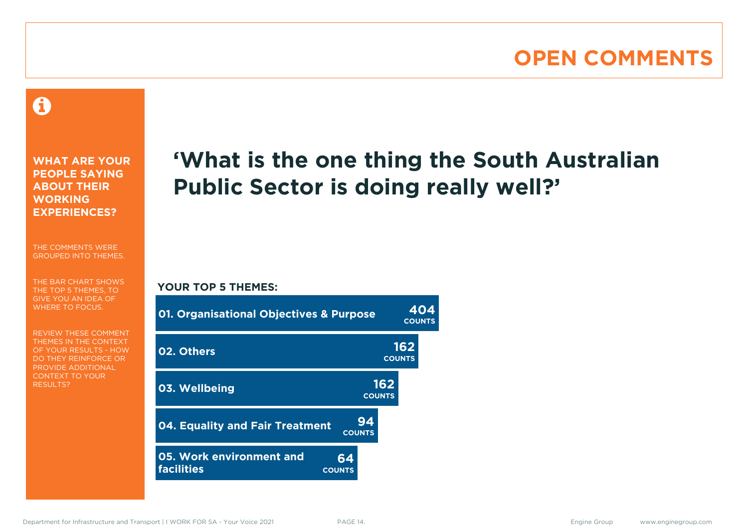# **OPEN COMMENTS**

### 0

**WHAT ARE YOUR PEOPLE SAYING ABOUT THEIR WORKING EXPERIENCES?**

THE COMMENTS WERE GROUPED INTO THEMES.

THE BAR CHART SHOWS THE TOP 5 THEMES, TO GIVE YOU AN IDEA OF WHERE TO FOCUS.

REVIEW THESE COMMENT THEMES IN THE CONTEXT OF YOUR RESULTS - HOW DO THEY REINFORCE OR PROVIDE ADDITIONAL CONTEXT TO YOUR **RESULTS?** 

# **'What is the one thing the South Australian Public Sector is doing really well?'**

#### **YOUR TOP 5 THEMES:**

| <b>01. Organisational Objectives &amp; Purpose</b>                   |                      | 404<br><b>COUNTS</b> |  |  |
|----------------------------------------------------------------------|----------------------|----------------------|--|--|
| 02. Others                                                           |                      | 162<br><b>COUNTS</b> |  |  |
| 03. Wellbeing                                                        | 162<br><b>COUNTS</b> |                      |  |  |
| <b>04. Equality and Fair Treatment</b><br><b>COUNTS</b>              | 94                   |                      |  |  |
| 05. Work environment and<br>64<br><b>facilities</b><br><b>COUNTS</b> |                      |                      |  |  |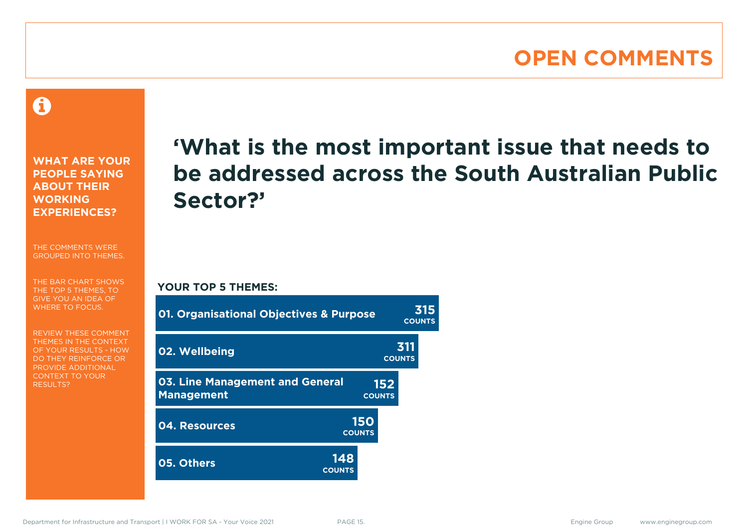### **OPEN COMMENTS**

A

**WHAT ARE YOUR PEOPLE SAYING ABOUT THEIR WORKING EXPERIENCES?**

THE COMMENTS WERE GROUPED INTO THEMES.

THE BAR CHART SHOWS THE TOP 5 THEMES, TO GIVE YOU AN IDEA OF WHERE TO FOCUS.

REVIEW THESE COMMENT THEMES IN THE CONTEXT OF YOUR RESULTS - HOW DO THEY REINFORCE OR PROVIDE ADDITIONAL CONTEXT TO YOUR **RESULTS?** 

# **'What is the most important issue that needs to be addressed across the South Australian Public Sector?'**

**COUNTS**

**YOUR TOP 5 THEMES:**

| 01. Organisational Objectives & Purpose                     | <b>COUNTS</b>        |                      |                      |  |
|-------------------------------------------------------------|----------------------|----------------------|----------------------|--|
| 02. Wellbeing                                               |                      |                      | 311<br><b>COUNTS</b> |  |
| <b>03. Line Management and General</b><br><b>Management</b> |                      | 152<br><b>COUNTS</b> |                      |  |
| 04. Resources                                               | 150<br><b>COUNTS</b> |                      |                      |  |
| 05. Others                                                  | 148<br><b>COUNTS</b> |                      |                      |  |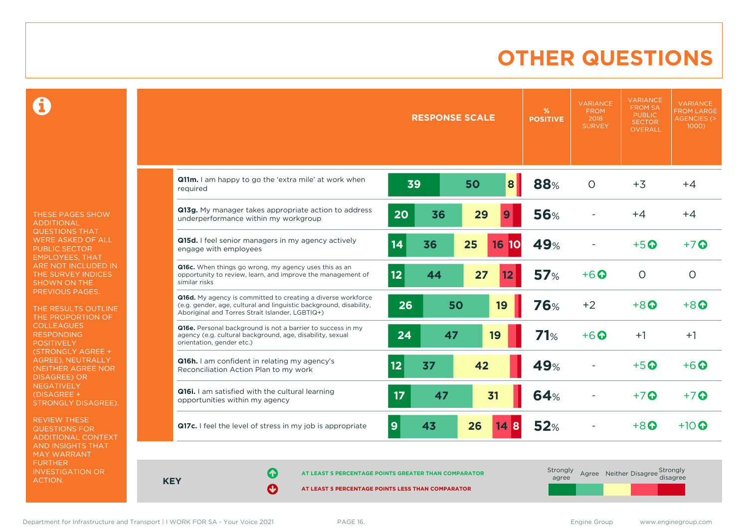# **OTHER QUESTIONS**

Ô

THESE PAGES SHOW ADDITIONAL QUESTIONS THAT WERE ASKED OF ALL PUBLIC SECTOR EMPLOYEES, THAT ARE NOT INCLUDED IN THE SURVEY INDICES SHOWN ON THE PREVIOUS PAGES.

THE RESULTS OUTLINE THE PROPORTION OF COLLEAGUES RESPONDING POSITIVELY (STRONGLY AGREE + AGREE), NEUTRALLY (NEITHER AGREE NOR DISAGREE) OR NEGATIVELY (DISAGREE + STRONGLY DISAGREE).

REVIEW THESE QUESTIONS FOR ADDITIONAL CONTEXT AND INSIGHTS THAT MAY WARRANT FURTHER INVESTIGATION OR ACTION.

|                                                                                                                                                                                       | <b>RESPONSE SCALE</b> |                    | %<br><b>POSITIVE</b> | <b>VARIANCE</b><br><b>FROM</b><br>2018<br><b>SURVEY</b> | <b>VARIANCE</b><br><b>FROM SA</b><br><b>PUBLIC</b><br><b>SECTOR</b><br><b>OVERALL</b> | <b>VARIANCE</b><br><b>FROM LARGE</b><br><b>AGENCIES (&gt;</b><br>$1000$ ) |
|---------------------------------------------------------------------------------------------------------------------------------------------------------------------------------------|-----------------------|--------------------|----------------------|---------------------------------------------------------|---------------------------------------------------------------------------------------|---------------------------------------------------------------------------|
|                                                                                                                                                                                       |                       |                    |                      |                                                         |                                                                                       |                                                                           |
| Q11m. I am happy to go the 'extra mile' at work when<br>required                                                                                                                      | 39                    | 8<br>50            | 88%                  | $\circ$                                                 | $+3$                                                                                  | $+4$                                                                      |
| Q13g. My manager takes appropriate action to address<br>underperformance within my workgroup                                                                                          | 20<br>36              | 29<br>9            | <b>56%</b>           |                                                         | $+4$                                                                                  | $+4$                                                                      |
| Q15d. I feel senior managers in my agency actively<br>engage with employees                                                                                                           | 14<br>36              | 25<br><b>16 10</b> | 49%                  |                                                         | $+5$ $\odot$                                                                          | $+7$ $\odot$                                                              |
| Q16c. When things go wrong, my agency uses this as an<br>opportunity to review, learn, and improve the management of<br>similar risks                                                 | 12 <sub>2</sub><br>44 | 27<br>12           | 57%                  | $+6$ <sup>O</sup>                                       | $\circ$                                                                               | $\circ$                                                                   |
| Q16d. My agency is committed to creating a diverse workforce<br>(e.g. gender, age, cultural and linguistic background, disability,<br>Aboriginal and Torres Strait Islander, LGBTIQ+) | 26<br>50              | 19                 | 76%                  | $+2$                                                    | $+8$ <sup><math>\odot</math></sup>                                                    | $+8$ $\odot$                                                              |
| Q16e. Personal background is not a barrier to success in my<br>agency (e.g. cultural background, age, disability, sexual<br>orientation, gender etc.)                                 | 24<br>47              | 19                 | 71%                  | $+6$ $\odot$                                            | $+1$                                                                                  | $+1$                                                                      |
| Q16h. I am confident in relating my agency's<br>Reconciliation Action Plan to my work                                                                                                 | 12<br>37              | 42                 | 49%                  |                                                         | $+5$ <sup>O</sup>                                                                     | $+6$ $\odot$                                                              |
| <b>Q16i.</b> I am satisfied with the cultural learning<br>opportunities within my agency                                                                                              | 17<br>47              | 31                 | <b>64%</b>           |                                                         | $+7$ $\odot$                                                                          | $+7$                                                                      |
| Q17c. I feel the level of stress in my job is appropriate                                                                                                                             | 9<br>43               | 26<br>148          | <b>52%</b>           |                                                         | $+8$ $\Omega$                                                                         | $+10$ $\odot$                                                             |

**KEY**

**AT LEAST 5 PERCENTAGE POINTS GREATER THAN COMPARATOR**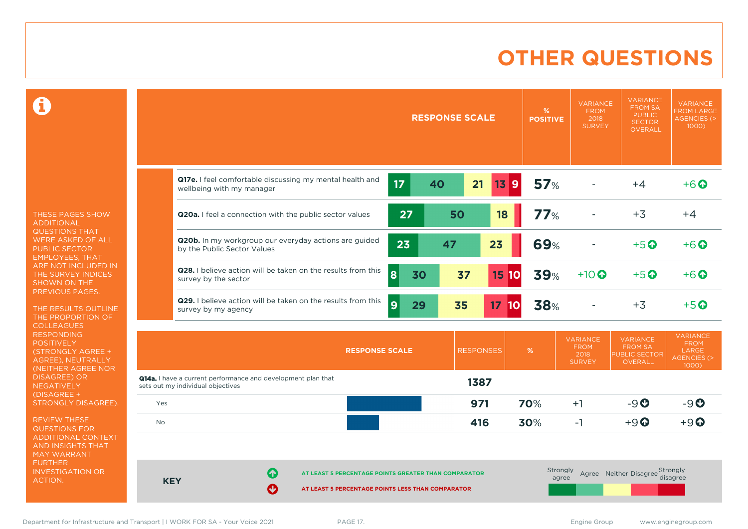# **OTHER QUESTIONS**

0

THESE PAGES SHOW ADDITIONAL QUESTIONS THAT WERE ASKED OF ALL PUBLIC SECTOR EMPLOYEES, THAT ARE NOT INCLUDED IN THE SURVEY INDICES SHOWN ON THE PREVIOUS PAGES.

THE RESULTS OUTLINE THE PROPORTION OF **COLLEAGUES** RESPONDING POSITIVELY (STRONGLY AGREE + AGREE), NEUTRALLY (NEITHER AGREE NOR **NEGATIVELY** (DISAGREE + STRONGLY DISAGREE).

REVIEW THESE QUESTIONS FOR ADDITIONAL CONTEXT AND INSIGHTS THAT MAY WARRANT FURTHER INVESTIGATION OR ACTION.

|                                                                                                          |          | <b>RESPONSE SCALE</b> |                       | %<br><b>POSITIVE</b> | <b>VARIANCE</b><br><b>FROM</b><br>2018<br><b>SURVEY</b> | <b>VARIANCE</b><br><b>FROM SA</b><br><b>PUBLIC</b><br><b>SECTOR</b><br>OVERALL | <b>VARIANCE</b><br><b>FROM LARGE</b><br><b>AGENCIES (&gt;</b><br>1000) |
|----------------------------------------------------------------------------------------------------------|----------|-----------------------|-----------------------|----------------------|---------------------------------------------------------|--------------------------------------------------------------------------------|------------------------------------------------------------------------|
| Q17e. I feel comfortable discussing my mental health and<br>wellbeing with my manager                    | 17       | 40                    | 21<br>$13$ 9          | 57%                  |                                                         | $+4$                                                                           | $+6$ <sup>O</sup>                                                      |
| Q20a. I feel a connection with the public sector values                                                  | 27       | 50                    | 18                    | 77%                  |                                                         | $+3$                                                                           | $+4$                                                                   |
| Q20b. In my workgroup our everyday actions are guided<br>by the Public Sector Values                     | 23       | 47                    | 23                    | 69%                  |                                                         | $+5$ <sup>O</sup>                                                              | $+6$ $\odot$                                                           |
| Q28. I believe action will be taken on the results from this<br>survey by the sector                     | 8<br>30  | 37                    | <b>15 10</b>          | <b>39%</b>           | $+10$                                                   | $+5$ <sup>O</sup>                                                              | $+6$ <sup>O</sup>                                                      |
| Q29. I believe action will be taken on the results from this<br>survey by my agency                      | 9 <br>29 | 35                    | 17 <sub>2</sub><br>10 | 38%                  |                                                         | $+3$                                                                           | $+5$ <sup>O</sup>                                                      |
| <b>RESPONSE SCALE</b>                                                                                    |          |                       | <b>RESPONSES</b>      | %                    | <b>VARIANCE</b><br><b>FROM</b><br>2018<br><b>SURVEY</b> | <b>VARIANCE</b><br><b>FROM SA</b><br><b>PUBLIC SECTOR</b><br>OVERALL           | <b>VARIANCE</b><br><b>FROM</b><br>LARGE<br>AGENCIES (><br>1000)        |
| <b>Q14a.</b> I have a current performance and development plan that<br>cote out my individual objectives |          |                       | 1387                  |                      |                                                         |                                                                                |                                                                        |

| sets out my municipal objectives |             |                                                      |     |     |                   |                                             |       |
|----------------------------------|-------------|------------------------------------------------------|-----|-----|-------------------|---------------------------------------------|-------|
| Yes                              |             |                                                      | 971 | 70% | $+1$              | $-9O$                                       | $-9O$ |
| No                               |             |                                                      | 416 | 30% | - I               | $+9$ <sup><math>\odot</math></sup>          | $+9$  |
|                                  |             |                                                      |     |     |                   |                                             |       |
|                                  |             |                                                      |     |     |                   |                                             |       |
| <b>KEY</b>                       | ➊           | AT LEAST 5 PERCENTAGE POINTS GREATER THAN COMPARATOR |     |     | Strongly<br>agree | Agree Neither Disagree Strongly<br>disagree |       |
|                                  | $\mathbf O$ | AT LEAST 5 PERCENTAGE POINTS LESS THAN COMPARATOR    |     |     |                   |                                             |       |

Department for Infrastructure and Transport | I WORK FOR SA - Your Voice 2021 PAGE 17. example 30 and the state of the state of the state of the Security Community of the Security Community Community Community Community Co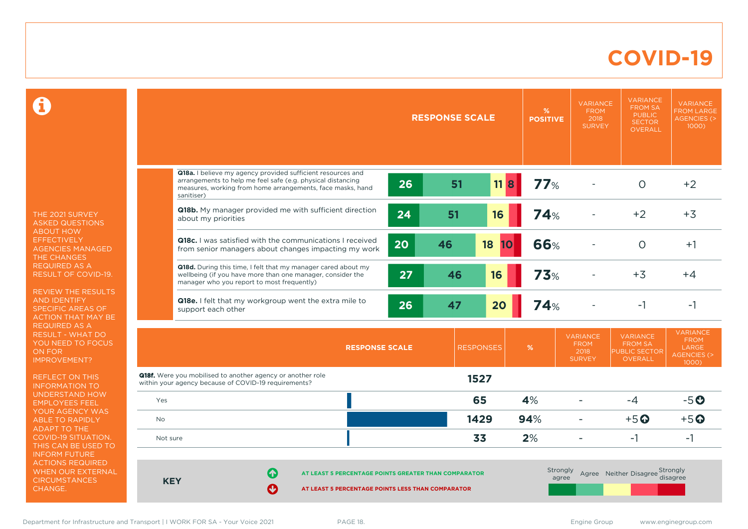### **COVID-19**

 $\mathbf \Omega$ 

THE 2021 SURVEY ASKED QUESTIONS ABOUT HOW **EFFECTIVELY** AGENCIES MANAGED THE CHANGES REQUIRED AS A RESULT OF COVID-19.

REVIEW THE RESULTS AND IDENTIFY SPECIFIC AREAS OF ACTION THAT MAY BE REQUIRED AS A RESULT - WHAT DO YOU NEED TO FOCUS ON FOR IMPROVEMENT?

REFLECT ON THIS INFORMATION TO UNDERSTAND HOW EMPLOYEES FEEL YOUR AGENCY WAS ABLE TO RAPIDLY ADAPT TO THE COVID-19 SITUATION. THIS CAN BE USED TO INFORM FUTURE ACTIONS REQUIRED WHEN OUR EXTERNAL **CIRCUMSTANCES** CHANGE.

|            |                                                                                                                                                                                                              | <b>RESPONSE SCALE</b> | %<br><b>POSITIVE</b> | <b>VARIANCE</b><br><b>FROM</b><br>2018<br><b>SURVEY</b> | <b>VARIANCE</b><br><b>FROM SA</b><br><b>PUBLIC</b><br><b>SECTOR</b><br><b>OVERALL</b> | <b>VARIANCE</b><br><b>FROM LARGE</b><br><b>AGENCIES (&gt;</b><br>1000)    |
|------------|--------------------------------------------------------------------------------------------------------------------------------------------------------------------------------------------------------------|-----------------------|----------------------|---------------------------------------------------------|---------------------------------------------------------------------------------------|---------------------------------------------------------------------------|
|            |                                                                                                                                                                                                              |                       |                      |                                                         |                                                                                       |                                                                           |
|            | Q18a. I believe my agency provided sufficient resources and<br>arrangements to help me feel safe (e.g. physical distancing<br>26<br>measures, working from home arrangements, face masks, hand<br>sanitiser) | 51<br>$11$ 8          | 77%                  |                                                         | $\Omega$                                                                              | $+2$                                                                      |
|            | Q18b. My manager provided me with sufficient direction<br>24<br>about my priorities                                                                                                                          | 51<br>16              | <b>74%</b>           |                                                         | $+2$                                                                                  | $+3$                                                                      |
|            | <b>Q18c.</b> I was satisfied with the communications I received<br>20<br>from senior managers about changes impacting my work                                                                                | 46<br>18<br>10        | 66%                  |                                                         | $\circ$                                                                               | $+1$                                                                      |
|            | Q18d. During this time, I felt that my manager cared about my<br>27<br>wellbeing (if you have more than one manager, consider the<br>manager who you report to most frequently)                              | 46<br>16              | 73%                  |                                                         | $+3$                                                                                  | $+4$                                                                      |
|            | Q18e. I felt that my workgroup went the extra mile to<br>26<br>support each other                                                                                                                            | 20<br>47              | <b>74%</b>           |                                                         | $-1$                                                                                  | -1                                                                        |
|            | <b>RESPONSE SCALE</b>                                                                                                                                                                                        | <b>RESPONSES</b>      | %                    | <b>VARIANCE</b><br><b>FROM</b><br>2018<br><b>SURVEY</b> | <b>VARIANCE</b><br><b>FROM SA</b><br><b>PUBLIC SECTOR</b><br><b>OVERALL</b>           | <b>VARIANCE</b><br><b>FROM</b><br>LARGE<br><b>AGENCIES (&gt;</b><br>1000) |
|            | <b>Q18f.</b> Were you mobilised to another agency or another role<br>within your agency because of COVID-19 requirements?                                                                                    | 1527                  |                      |                                                         |                                                                                       |                                                                           |
| Yes        |                                                                                                                                                                                                              | 65                    | 4%                   |                                                         | $-4$                                                                                  | $-5o$                                                                     |
| <b>No</b>  |                                                                                                                                                                                                              | 1429                  | 94%                  | ÷                                                       | $+5$ <sup>O</sup>                                                                     | $+5$ <sup>O</sup>                                                         |
| Not sure   |                                                                                                                                                                                                              | 33                    | 2%                   | ۰                                                       | $-1$                                                                                  | $-1$                                                                      |
| <b>KEY</b> | 6<br>AT LEAST 5 PERCENTAGE POINTS GREATER THAN COMPARATOR<br>Ø<br>AT LEAST 5 PERCENTAGE POINTS LESS THAN COMPARATOR                                                                                          |                       | Strongly<br>agree    |                                                         | Agree Neither Disagree Strongly                                                       | disagree                                                                  |

Department for Infrastructure and Transport | I WORK FOR SA - Your Voice 2021 PAGE 18. Engine School and Transport | I WORK FOR SA - Your Voice 2021 PAGE 18.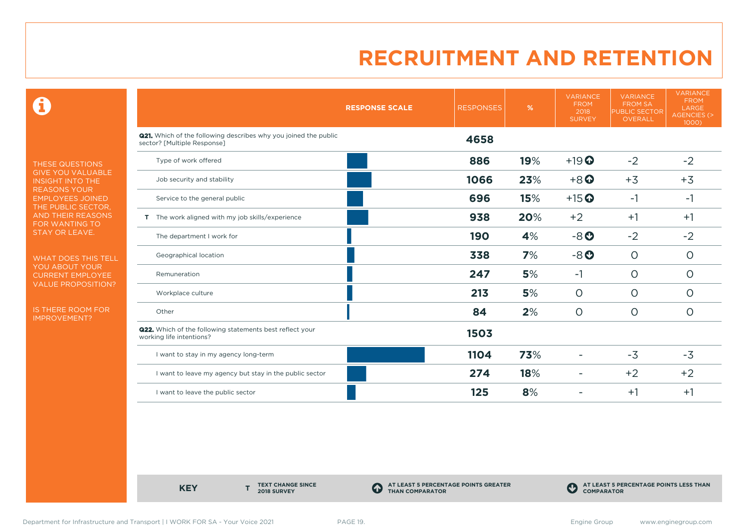0

THESE QUESTIONS GIVE YOU VALUABLE INSIGHT INTO THE REASONS YOUR EMPLOYEES JOINED THE PUBLIC SECTOR, AND THEIR REASONS FOR WANTING TO STAY OR LEAVE.

WHAT DOES THIS TELL YOU ABOUT YOUR CURRENT EMPLOYEE VALUE PROPOSITION?

IS THERE ROOM FOR IMPROVEMENT?

|                                                                                                       | <b>RESPONSE SCALE</b> | <b>RESPONSES</b> | $\%$ | <b>VARIANCE</b><br><b>FROM</b><br>2018<br><b>SURVEY</b> | <b>VARIANCE</b><br><b>FROM SA</b><br><b>PUBLIC SECTOR</b><br>OVERALL | <b>VARIANCE</b><br><b>FROM</b><br>LARGE<br>AGENCIES (><br>1000) |
|-------------------------------------------------------------------------------------------------------|-----------------------|------------------|------|---------------------------------------------------------|----------------------------------------------------------------------|-----------------------------------------------------------------|
| <b>Q21.</b> Which of the following describes why you joined the public<br>sector? [Multiple Response] |                       | 4658             |      |                                                         |                                                                      |                                                                 |
| Type of work offered                                                                                  |                       | 886              | 19%  | $+19$ <sup>O</sup>                                      | $-2$                                                                 | $-2$                                                            |
| Job security and stability                                                                            |                       | 1066             | 23%  | $+8$ <sup>O</sup>                                       | $+3$                                                                 | $+3$                                                            |
| Service to the general public                                                                         |                       | 696              | 15%  | $+15$ <sup>O</sup>                                      | $-1$                                                                 | $-1$                                                            |
| T The work aligned with my job skills/experience                                                      |                       | 938              | 20%  | $+2$                                                    | $+1$                                                                 | $+1$                                                            |
| The department I work for                                                                             |                       | <b>190</b>       | 4%   | $-8o$                                                   | $-2$                                                                 | $-2$                                                            |
| Geographical location                                                                                 |                       | 338              | 7%   | $-8o$                                                   | $\circ$                                                              | $\circ$                                                         |
| Remuneration                                                                                          |                       | 247              | 5%   | $-1$                                                    | $\circ$                                                              | $\circ$                                                         |
| Workplace culture                                                                                     |                       | 213              | 5%   | $\circ$                                                 | $\circ$                                                              | $\circ$                                                         |
| Other                                                                                                 |                       | 84               | 2%   | $\circ$                                                 | $\circ$                                                              | $\circ$                                                         |
| <b>Q22.</b> Which of the following statements best reflect your<br>working life intentions?           |                       | 1503             |      |                                                         |                                                                      |                                                                 |
| I want to stay in my agency long-term                                                                 |                       | 1104             | 73%  |                                                         | $-3$                                                                 | $-3$                                                            |
| I want to leave my agency but stay in the public sector                                               |                       | 274              | 18%  | ٠                                                       | $+2$                                                                 | $+2$                                                            |
| I want to leave the public sector                                                                     |                       | 125              | 8%   |                                                         | $+1$                                                                 | $+1$                                                            |

**KEY** 

**TEXT CHANGE SINCE 2018 SURVEY**

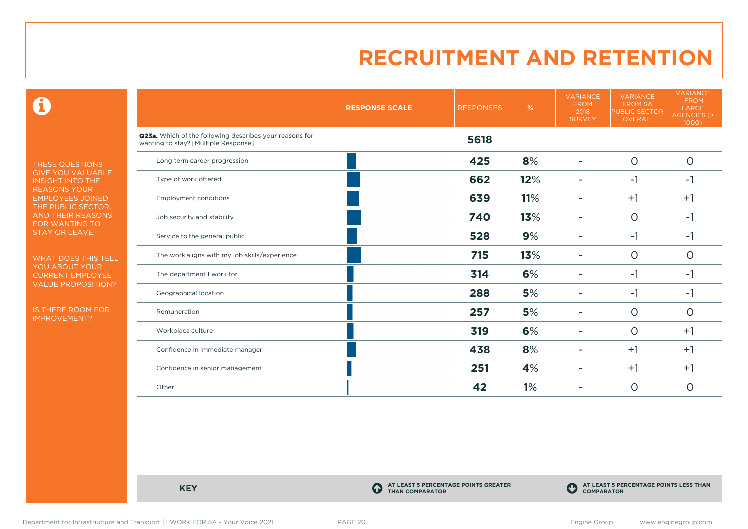$\mathbf \Theta$ 

THESE QUESTIONS GIVE YOU VALUABLE INSIGHT INTO THE REASONS YOUR EMPLOYEES JOINED THE PUBLIC SECTOR, AND THEIR REASONS FOR WANTING TO STAY OR LEAVE.

WHAT DOES THIS TELL YOU ABOUT YOUR CURRENT EMPLOYEE VALUE PROPOSITION?

IS THERE ROOM FOR IMPROVEMENT?

|                                                                                                 | <b>RESPONSE SCALE</b> | <b>RESPONSES</b> | %   | <b>VARIANCE</b><br><b>FROM</b><br>2018<br><b>SURVEY</b> | <b>VARIANCE</b><br><b>FROM SA</b><br><b>PUBLIC SECTOR</b><br>OVERALL | <b>VARIANCE</b><br><b>FROM</b><br>LARGE<br>AGENCIES (><br>1000) |
|-------------------------------------------------------------------------------------------------|-----------------------|------------------|-----|---------------------------------------------------------|----------------------------------------------------------------------|-----------------------------------------------------------------|
| Q23a. Which of the following describes your reasons for<br>wanting to stay? [Multiple Response] |                       | 5618             |     |                                                         |                                                                      |                                                                 |
| Long term career progression                                                                    |                       | 425              | 8%  |                                                         | $\circ$                                                              | $\circ$                                                         |
| Type of work offered                                                                            |                       | 662              | 12% |                                                         | $-1$                                                                 | $-1$                                                            |
| <b>Employment conditions</b>                                                                    |                       | 639              | 11% | ۰                                                       | $+1$                                                                 | $+1$                                                            |
| Job security and stability                                                                      |                       | 740              | 13% | ۰                                                       | $\circ$                                                              | $-1$                                                            |
| Service to the general public                                                                   |                       | 528              | 9%  |                                                         | $-1$                                                                 | $-1$                                                            |
| The work aligns with my job skills/experience                                                   |                       | 715              | 13% |                                                         | $\circ$                                                              | $\circ$                                                         |
| The department I work for                                                                       |                       | 314              | 6%  |                                                         | $-1$                                                                 | $-1$                                                            |
| Geographical location                                                                           |                       | 288              | 5%  |                                                         | $-1$                                                                 | $-1$                                                            |
| Remuneration                                                                                    |                       | 257              | 5%  |                                                         | $\circ$                                                              | $\circ$                                                         |
| Workplace culture                                                                               |                       | 319              | 6%  | ۰                                                       | $\circ$                                                              | $+1$                                                            |
| Confidence in immediate manager                                                                 |                       | 438              | 8%  |                                                         | $+1$                                                                 | $+1$                                                            |
| Confidence in senior management                                                                 |                       | 251              | 4%  |                                                         | $+1$                                                                 | $+1$                                                            |
| Other                                                                                           |                       | 42               | 1%  |                                                         | $\circ$                                                              | $\circ$                                                         |

**KEY C** 

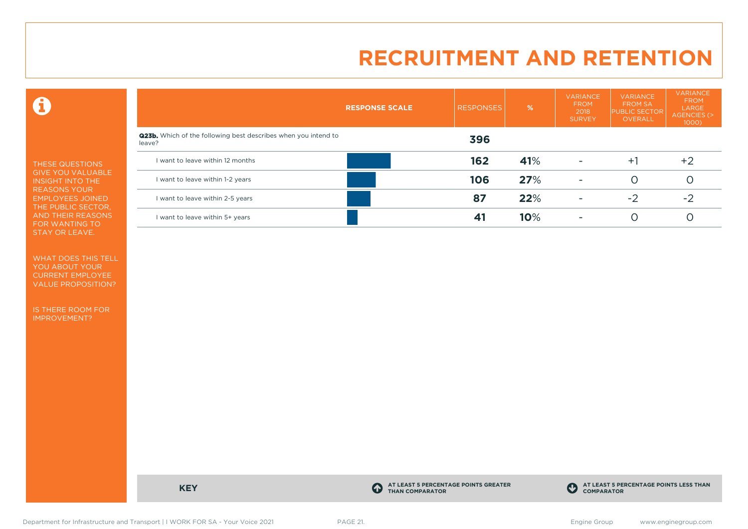$\mathbf \Theta$ 

THESE QUESTIONS GIVE YOU VALUABLE INSIGHT INTO THE REASONS YOUR EMPLOYEES JOINED THE PUBLIC SECTOR, AND THEIR REASONS FOR WANTING TO STAY OR LEAVE.

WHAT DOES THIS TELL YOU ABOUT YOUR CURRENT EMPLOYEE VALUE PROPOSITION?

IS THERE ROOM FOR IMPROVEMENT?

|                                                                                 | <b>RESPONSE SCALE</b> | <b>RESPONSES</b> | %   | <b>VARIANCE</b><br><b>FROM</b><br>2018<br><b>SURVEY</b> | <b>VARIANCE</b><br><b>FROM SA</b><br><b>PUBLIC SECTOR</b><br>OVERALL | <b>VARIANCE</b><br><b>FROM</b><br>LARGE<br>AGENCIES (><br>$1000$ ) |
|---------------------------------------------------------------------------------|-----------------------|------------------|-----|---------------------------------------------------------|----------------------------------------------------------------------|--------------------------------------------------------------------|
| <b>Q23b.</b> Which of the following best describes when you intend to<br>leave? |                       | 396              |     |                                                         |                                                                      |                                                                    |
| I want to leave within 12 months                                                |                       | 162              | 41% | $\overline{\phantom{a}}$                                | $+1$                                                                 | $+2$                                                               |
| I want to leave within 1-2 years                                                |                       | 106              | 27% | $\overline{\phantom{a}}$                                |                                                                      |                                                                    |
| I want to leave within 2-5 years                                                |                       | 87               | 22% | ۰                                                       | $-2$                                                                 | $-2$                                                               |
| I want to leave within 5+ years                                                 |                       |                  | 10% | ۰                                                       |                                                                      |                                                                    |

**KEY C** 

**AT LEAST 5 PERCENTAGE POINTS GREATER THAN COMPARATOR**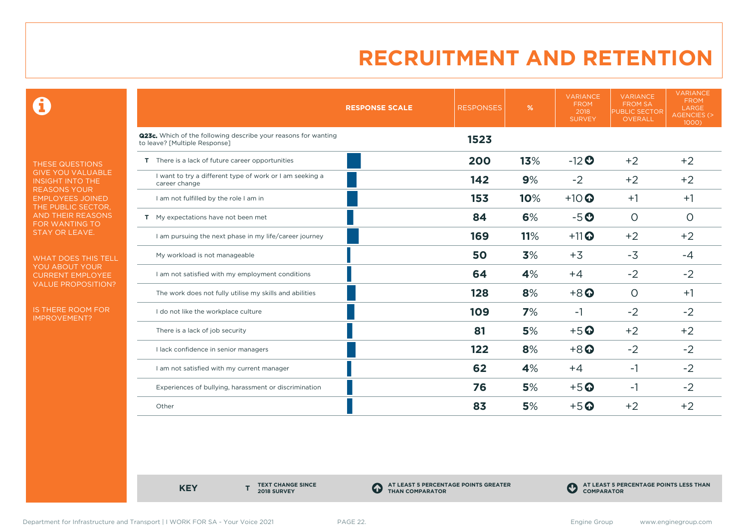0

THESE QUESTIONS GIVE YOU VALUABLE INSIGHT INTO THE REASONS YOUR EMPLOYEES JOINED THE PUBLIC SECTOR, AND THEIR REASONS FOR WANTING TO STAY OR LEAVE.

WHAT DOES THIS TELL YOU ABOUT YOUR CURRENT EMPLOYEE VALUE PROPOSITION?

IS THERE ROOM FOR IMPROVEMENT?

|                                                                                                 | <b>RESPONSE SCALE</b> | <b>RESPONSES</b> | %   | <b>VARIANCE</b><br><b>FROM</b><br>2018<br><b>SURVEY</b> | <b>VARIANCE</b><br><b>FROM SA</b><br><b>PUBLIC SECTOR</b><br><b>OVERALL</b> | <b>VARIANCE</b><br><b>FROM</b><br>LARGE<br>AGENCIES (><br>1000) |
|-------------------------------------------------------------------------------------------------|-----------------------|------------------|-----|---------------------------------------------------------|-----------------------------------------------------------------------------|-----------------------------------------------------------------|
| Q23c. Which of the following describe your reasons for wanting<br>to leave? [Multiple Response] |                       | 1523             |     |                                                         |                                                                             |                                                                 |
| T There is a lack of future career opportunities                                                |                       | 200              | 13% | $-12$ <sup>O</sup>                                      | $+2$                                                                        | $+2$                                                            |
| I want to try a different type of work or I am seeking a<br>career change                       |                       | 142              | 9%  | $-2$                                                    | $+2$                                                                        | $+2$                                                            |
| I am not fulfilled by the role I am in                                                          |                       | 153              | 10% | $+10$                                                   | $+1$                                                                        | $+1$                                                            |
| T My expectations have not been met                                                             |                       | 84               | 6%  | $-5o$                                                   | $\circ$                                                                     | $\circ$                                                         |
| I am pursuing the next phase in my life/career journey                                          |                       | 169              | 11% | $+11$ <sup>O</sup>                                      | $+2$                                                                        | $+2$                                                            |
| My workload is not manageable                                                                   |                       | 50               | 3%  | $+3$                                                    | $-3$                                                                        | $-4$                                                            |
| I am not satisfied with my employment conditions                                                |                       | 64               | 4%  | $+4$                                                    | $-2$                                                                        | $-2$                                                            |
| The work does not fully utilise my skills and abilities                                         |                       | 128              | 8%  | $+8$ <sup><math>\odot</math></sup>                      | $\circ$                                                                     | $+1$                                                            |
| I do not like the workplace culture                                                             |                       | 109              | 7%  | $-1$                                                    | $-2$                                                                        | $-2$                                                            |
| There is a lack of job security                                                                 |                       | 81               | 5%  | $+5$ <sup>O</sup>                                       | $+2$                                                                        | $+2$                                                            |
| I lack confidence in senior managers                                                            |                       | 122              | 8%  | $+8$ <sup>O</sup>                                       | $-2$                                                                        | $-2$                                                            |
| I am not satisfied with my current manager                                                      |                       | 62               | 4%  | $+4$                                                    | $-1$                                                                        | $-2$                                                            |
| Experiences of bullying, harassment or discrimination                                           |                       | 76               | 5%  | $+5$ <sup>O</sup>                                       | $-1$                                                                        | $-2$                                                            |
| Other                                                                                           |                       | 83               | 5%  | $+5$ <sup>O</sup>                                       | $+2$                                                                        | $+2$                                                            |

**KEY** 

**TEXT CHANGE SINCE 2018 SURVEY**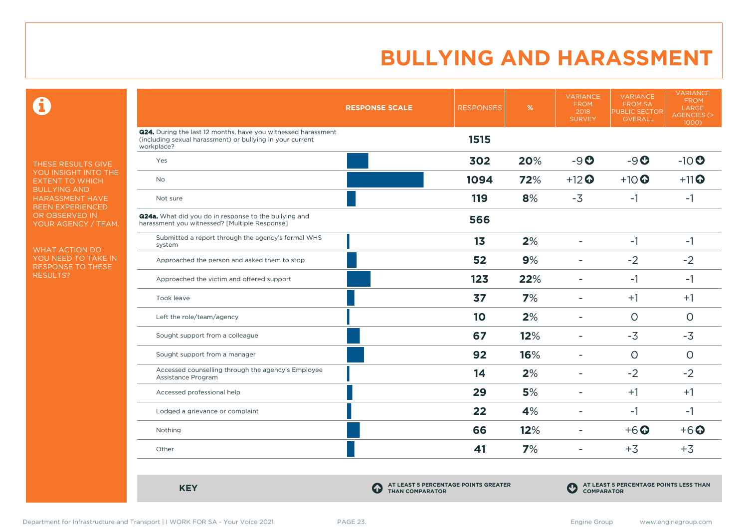$\mathbf \Omega$ 

THESE RESULTS GIVE YOU INSIGHT INTO THE EXTENT TO WHICH BULLYING AND HARASSMENT HAVE BEEN EXPERIENCED OR OBSERVED IN YOUR AGENCY / TEAM.

WHAT ACTION DO YOU NEED TO TAKE IN RESPONSE TO THESE RESULTS?

|                                                                                                                                                 | <b>RESPONSE SCALE</b> | <b>RESPONSES</b> | %   | <b>VARIANCE</b><br><b>FROM</b><br>2018<br><b>SURVEY</b> | <b>VARIANCE</b><br><b>FROM SA</b><br><b>PUBLIC SECTOR</b><br>OVERALL | <b>VARIANCE</b><br><b>FROM</b><br>LARGE<br><b>AGENCIES (&gt;</b><br>1000) |
|-------------------------------------------------------------------------------------------------------------------------------------------------|-----------------------|------------------|-----|---------------------------------------------------------|----------------------------------------------------------------------|---------------------------------------------------------------------------|
| <b>Q24.</b> During the last 12 months, have you witnessed harassment<br>(including sexual harassment) or bullying in your current<br>workplace? |                       | 1515             |     |                                                         |                                                                      |                                                                           |
| Yes                                                                                                                                             |                       | 302              | 20% | $-9o$                                                   | $-9o$                                                                | $-10$                                                                     |
| <b>No</b>                                                                                                                                       |                       | 1094             | 72% | $+12$ <sup>O</sup>                                      | $+10$                                                                | $+11$ <sup>O</sup>                                                        |
| Not sure                                                                                                                                        |                       | 119              | 8%  | $-3$                                                    | $-1$                                                                 | $-1$                                                                      |
| <b>Q24a.</b> What did you do in response to the bullying and<br>harassment you witnessed? [Multiple Response]                                   |                       | 566              |     |                                                         |                                                                      |                                                                           |
| Submitted a report through the agency's formal WHS<br>system                                                                                    |                       | 1 <sub>3</sub>   | 2%  | $\overline{\phantom{a}}$                                | $-1$                                                                 | $-1$                                                                      |
| Approached the person and asked them to stop                                                                                                    |                       | 52               | 9%  | ۰                                                       | $-2$                                                                 | $-2$                                                                      |
| Approached the victim and offered support                                                                                                       |                       | 123              | 22% | ۰                                                       | $-1$                                                                 | $-1$                                                                      |
| Took leave                                                                                                                                      |                       | 37               | 7%  |                                                         | $+1$                                                                 | $+1$                                                                      |
| Left the role/team/agency                                                                                                                       |                       | 10               | 2%  | ۰                                                       | $\circ$                                                              | $\circ$                                                                   |
| Sought support from a colleague                                                                                                                 |                       | 67               | 12% | ۰                                                       | $-3$                                                                 | $-3$                                                                      |
| Sought support from a manager                                                                                                                   |                       | 92               | 16% | ÷.                                                      | $\circ$                                                              | $\circ$                                                                   |
| Accessed counselling through the agency's Employee<br>Assistance Program                                                                        |                       | 14               | 2%  | ۰                                                       | $-2$                                                                 | $-2$                                                                      |
| Accessed professional help                                                                                                                      |                       | 29               | 5%  | ۰                                                       | $+1$                                                                 | $+1$                                                                      |
| Lodged a grievance or complaint                                                                                                                 |                       | 22               | 4%  | ۳                                                       | $-1$                                                                 | $-1$                                                                      |
| Nothing                                                                                                                                         |                       | 66               | 12% | ۰                                                       | $+6$ <sup>O</sup>                                                    | $+6$ $\odot$                                                              |
| Other                                                                                                                                           |                       | 41               | 7%  | ÷                                                       | $+3$                                                                 | $+3$                                                                      |

**KEY C** 

**AT LEAST 5 PERCENTAGE POINTS GREATER THAN COMPARATOR**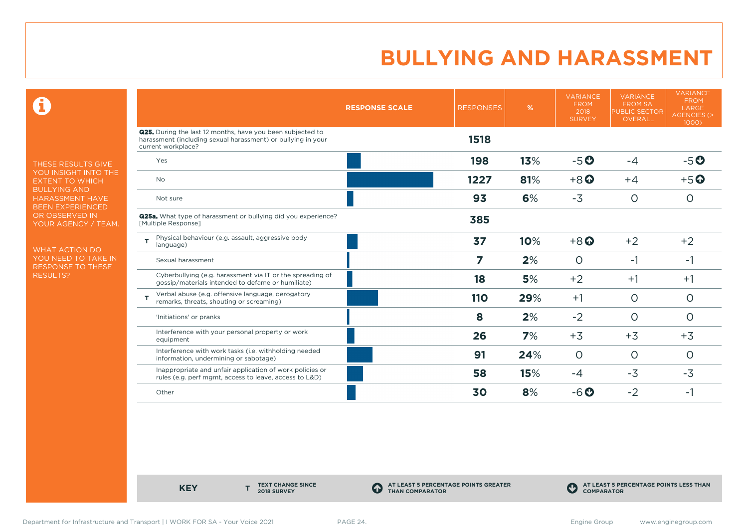$\mathbf \Theta$ 

THESE RESULTS GIVE YOU INSIGHT INTO THE EXTENT TO WHICH BULLYING AND HARASSMENT HAVE BEEN EXPERIENCED OR OBSERVED IN YOUR AGENCY / TEAM.

WHAT ACTION DO YOU NEED TO TAKE IN RESPONSE TO THESE RESULTS?

|                                                                                                                                                         | <b>RESPONSE SCALE</b> | <b>RESPONSES</b> | %   | <b>VARIANCE</b><br><b>FROM</b><br>2018<br><b>SURVEY</b> | <b>VARIANCE</b><br><b>FROM SA</b><br><b>PUBLIC SECTOR</b><br><b>OVERALL</b> | <b>VARIANCE</b><br><b>FROM</b><br>LARGE<br><b>AGENCIES (&gt;</b><br>1000) |
|---------------------------------------------------------------------------------------------------------------------------------------------------------|-----------------------|------------------|-----|---------------------------------------------------------|-----------------------------------------------------------------------------|---------------------------------------------------------------------------|
| <b>Q25.</b> During the last 12 months, have you been subjected to<br>harassment (including sexual harassment) or bullying in your<br>current workplace? |                       | 1518             |     |                                                         |                                                                             |                                                                           |
| Yes                                                                                                                                                     |                       | 198              | 13% | $-5O$                                                   | $-4$                                                                        | $-5o$                                                                     |
| <b>No</b>                                                                                                                                               |                       | 1227             | 81% | $+8$ <sup><math>\odot</math></sup>                      | $+4$                                                                        | $+5o$                                                                     |
| Not sure                                                                                                                                                |                       | 93               | 6%  | $-3$                                                    | $\circ$                                                                     | $\circ$                                                                   |
| <b>Q25a.</b> What type of harassment or bullying did you experience?<br>[Multiple Response]                                                             |                       | 385              |     |                                                         |                                                                             |                                                                           |
| Physical behaviour (e.g. assault, aggressive body<br>T<br>language)                                                                                     |                       | 37               | 10% | $+8$ <sup><math>\odot</math></sup>                      | $+2$                                                                        | $+2$                                                                      |
| Sexual harassment                                                                                                                                       |                       | 7                | 2%  | $\Omega$                                                | $-1$                                                                        | -1                                                                        |
| Cyberbullying (e.g. harassment via IT or the spreading of<br>gossip/materials intended to defame or humiliate)                                          |                       | 18               | 5%  | $+2$                                                    | $+1$                                                                        | $+1$                                                                      |
| Verbal abuse (e.g. offensive language, derogatory<br>т<br>remarks, threats, shouting or screaming)                                                      |                       | 110              | 29% | $+1$                                                    | $\Omega$                                                                    | $\circ$                                                                   |
| 'Initiations' or pranks                                                                                                                                 |                       | 8                | 2%  | $-2$                                                    | $\circ$                                                                     | $\circ$                                                                   |
| Interference with your personal property or work<br>equipment                                                                                           |                       | 26               | 7%  | $+3$                                                    | $+3$                                                                        | $+3$                                                                      |
| Interference with work tasks (i.e. withholding needed<br>information, undermining or sabotage)                                                          |                       | 91               | 24% | $\circ$                                                 | $\circ$                                                                     | $\Omega$                                                                  |
| Inappropriate and unfair application of work policies or<br>rules (e.g. perf mgmt, access to leave, access to L&D)                                      |                       | 58               | 15% | $-4$                                                    | $-3$                                                                        | $-3$                                                                      |
| Other                                                                                                                                                   |                       | 30               | 8%  | $-6$ $\odot$                                            | $-2$                                                                        | $-1$                                                                      |

**KEY** 

**TEXT CHANGE SINCE 2018 SURVEY**

**AT LEAST 5 PERCENTAGE POINTS GREATER THAN COMPARATOR**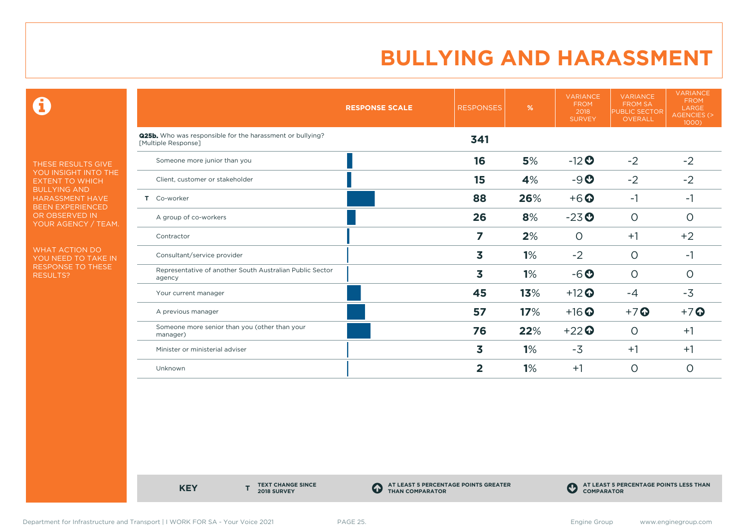$\mathbf \Theta$ 

THESE RESULTS GIVE YOU INSIGHT INTO THE EXTENT TO WHICH BULLYING AND HARASSMENT HAVE BEEN EXPERIENCED OR OBSERVED IN YOUR AGENCY / TEAM.

WHAT ACTION DO YOU NEED TO TAKE IN RESPONSE TO THESE RESULTS?

|                                                                                         | <b>RESPONSE SCALE</b> | <b>RESPONSES</b> | %   | <b>VARIANCE</b><br><b>FROM</b><br>2018<br><b>SURVEY</b> | <b>VARIANCE</b><br><b>FROM SA</b><br><b>PUBLIC SECTOR</b><br><b>OVERALL</b> | <b>VARIANCE</b><br><b>FROM</b><br>LARGE<br><b>AGENCIES (&gt;</b><br>1000) |
|-----------------------------------------------------------------------------------------|-----------------------|------------------|-----|---------------------------------------------------------|-----------------------------------------------------------------------------|---------------------------------------------------------------------------|
| <b>Q25b.</b> Who was responsible for the harassment or bullying?<br>[Multiple Response] |                       | 341              |     |                                                         |                                                                             |                                                                           |
| Someone more junior than you                                                            |                       | 16               | 5%  | $-12$ <sup>O</sup>                                      | $-2$                                                                        | $-2$                                                                      |
| Client, customer or stakeholder                                                         |                       | 15               | 4%  | $-9O$                                                   | $-2$                                                                        | $-2$                                                                      |
| T Co-worker                                                                             |                       | 88               | 26% | $+6$ $\odot$                                            | $-1$                                                                        | $-1$                                                                      |
| A group of co-workers                                                                   |                       | 26               | 8%  | $-23o$                                                  | $\circ$                                                                     | $\circ$                                                                   |
| Contractor                                                                              |                       | 7                | 2%  | $\circ$                                                 | $+1$                                                                        | $+2$                                                                      |
| Consultant/service provider                                                             |                       | 3                | 1%  | $-2$                                                    | $\circ$                                                                     | -1                                                                        |
| Representative of another South Australian Public Sector<br>agency                      |                       | 3                | 1%  | $-6o$                                                   | $\circ$                                                                     | $\circ$                                                                   |
| Your current manager                                                                    |                       | 45               | 13% | $+12$                                                   | $-4$                                                                        | $-3$                                                                      |
| A previous manager                                                                      |                       | 57               | 17% | $+16$ <sup>O</sup>                                      | $+7$ $\odot$                                                                | $+7$                                                                      |
| Someone more senior than you (other than your<br>manager)                               |                       | 76               | 22% | $+22$                                                   | $\circ$                                                                     | $+1$                                                                      |
| Minister or ministerial adviser                                                         |                       | 3                | 1%  | $-3$                                                    | $+1$                                                                        | $+1$                                                                      |
| Unknown                                                                                 |                       | 2                | 1%  | $+1$                                                    | $\circ$                                                                     | O                                                                         |

**KEY** 

**TEXT CHANGE SINCE 2018 SURVEY**

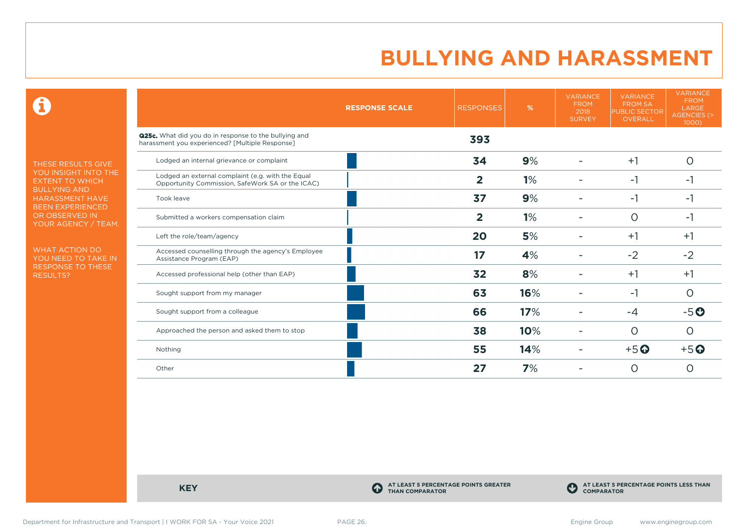$\mathbf \Theta$ 

THESE RESULTS GIVE YOU INSIGHT INTO THE EXTENT TO WHICH BULLYING AND HARASSMENT HAVE BEEN EXPERIENCED OR OBSERVED IN YOUR AGENCY / TEAM.

WHAT ACTION DO YOU NEED TO TAKE IN RESPONSE TO THESE RESULTS?

|                                                                                                          | <b>RESPONSE SCALE</b> | <b>RESPONSES</b> | %   | <b>VARIANCE</b><br><b>FROM</b><br>2018<br><b>SURVEY</b> | <b>VARIANCE</b><br><b>FROM SA</b><br><b>PUBLIC SECTOR</b><br>OVERALL | <b>VARIANCE</b><br><b>FROM</b><br>LARGE<br><b>AGENCIES (&gt;</b><br>1000) |
|----------------------------------------------------------------------------------------------------------|-----------------------|------------------|-----|---------------------------------------------------------|----------------------------------------------------------------------|---------------------------------------------------------------------------|
| Q25c. What did you do in response to the bullying and<br>harassment you experienced? [Multiple Response] |                       | 393              |     |                                                         |                                                                      |                                                                           |
| Lodged an internal grievance or complaint                                                                |                       | 34               | 9%  |                                                         | $+1$                                                                 | O                                                                         |
| Lodged an external complaint (e.g. with the Equal<br>Opportunity Commission, SafeWork SA or the ICAC)    |                       | $\overline{2}$   | 1%  |                                                         | $-1$                                                                 | -1                                                                        |
| Took leave                                                                                               |                       | 37               | 9%  |                                                         | -1                                                                   | -1                                                                        |
| Submitted a workers compensation claim                                                                   |                       | $\overline{2}$   | 1%  |                                                         | $\circ$                                                              | -1                                                                        |
| Left the role/team/agency                                                                                |                       | 20               | 5%  |                                                         | $+1$                                                                 | $+1$                                                                      |
| Accessed counselling through the agency's Employee<br>Assistance Program (EAP)                           |                       | 17               | 4%  |                                                         | $-2$                                                                 | $-2$                                                                      |
| Accessed professional help (other than EAP)                                                              |                       | 32               | 8%  |                                                         | $+1$                                                                 | $+1$                                                                      |
| Sought support from my manager                                                                           |                       | 63               | 16% |                                                         | -1                                                                   | O                                                                         |
| Sought support from a colleague                                                                          |                       | 66               | 17% |                                                         | $-4$                                                                 | $-5o$                                                                     |
| Approached the person and asked them to stop                                                             |                       | 38               | 10% |                                                         | $\circ$                                                              | O                                                                         |
| Nothing                                                                                                  |                       | 55               | 14% |                                                         | $+5$ <sup>O</sup>                                                    | $+5$ <sup>O</sup>                                                         |
| Other                                                                                                    |                       | 27               | 7%  |                                                         | $\Omega$                                                             | Ω                                                                         |

**KEY C** 

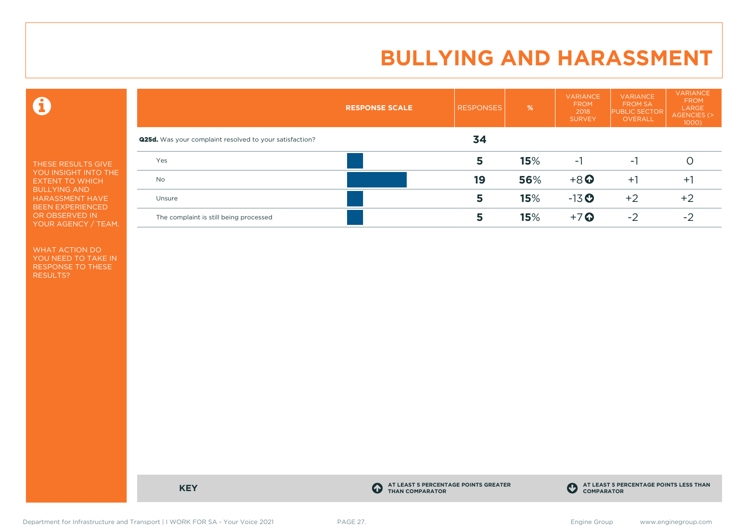$\mathbf \Theta$ 

THESE RESULTS GIVE YOU INSIGHT INTO THE EXTENT TO WHICH BULLYING AND HARASSMENT HAVE BEEN EXPERIENCED OR OBSERVED IN YOUR AGENCY / TEAM.

WHAT ACTION DO YOU NEED TO TAKE IN RESPONSE TO THESE RESULTS?

|                                                                | <b>RESPONSE SCALE</b> | <b>RESPONSES</b> | %   | <b>VARIANCE</b><br><b>FROM</b><br>2018<br><b>SURVEY</b> | <b>VARIANCE</b><br><b>FROM SA</b><br><b>PUBLIC SECTOR</b><br>OVERALL | <b>VARIANCE</b><br><b>FROM</b><br>LARGE<br>AGENCIES (><br>$1000$ ) |
|----------------------------------------------------------------|-----------------------|------------------|-----|---------------------------------------------------------|----------------------------------------------------------------------|--------------------------------------------------------------------|
| <b>Q25d.</b> Was your complaint resolved to your satisfaction? |                       | 34               |     |                                                         |                                                                      |                                                                    |
| Yes                                                            |                       | 5                | 15% | ÷.                                                      | - 1                                                                  |                                                                    |
| <b>No</b>                                                      |                       | 19               | 56% | $+8$ <sup>O</sup>                                       | $+1$                                                                 | $+$                                                                |
| Unsure                                                         |                       | 5                | 15% | $-13$ <sup>O</sup>                                      | $+2$                                                                 | $+2$                                                               |
| The complaint is still being processed                         |                       | 5                | 15% | $+7$ $\odot$                                            | $-2$                                                                 | $-2$                                                               |

**KEY C** 

**AT LEAST 5 PERCENTAGE POINTS GREATER THAN COMPARATOR**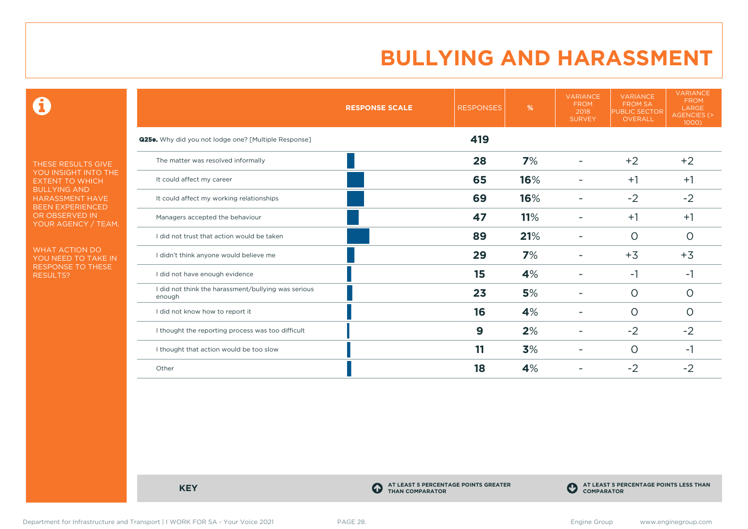$\mathbf \Theta$ 

THESE RESULTS GIVE YOU INSIGHT INTO THE EXTENT TO WHICH BULLYING AND HARASSMENT HAVE BEEN EXPERIENCED OR OBSERVED IN YOUR AGENCY / TEAM.

WHAT ACTION DO YOU NEED TO TAKE IN RESPONSE TO THESE RESULTS?

|                                                               | <b>RESPONSE SCALE</b> | <b>RESPONSES</b> | %   | <b>VARIANCE</b><br><b>FROM</b><br>2018<br><b>SURVEY</b> | <b>VARIANCE</b><br><b>FROM SA</b><br><b>PUBLIC SECTOR</b><br>OVERALL | <b>VARIANCE</b><br><b>FROM</b><br>LARGE<br>AGENCIES (><br>1000) |
|---------------------------------------------------------------|-----------------------|------------------|-----|---------------------------------------------------------|----------------------------------------------------------------------|-----------------------------------------------------------------|
| Q25e. Why did you not lodge one? [Multiple Response]          |                       | 419              |     |                                                         |                                                                      |                                                                 |
| The matter was resolved informally                            |                       | 28               | 7%  | $\overline{a}$                                          | $+2$                                                                 | $+2$                                                            |
| It could affect my career                                     |                       | 65               | 16% |                                                         | $+1$                                                                 | $+1$                                                            |
| It could affect my working relationships                      |                       | 69               | 16% |                                                         | $-2$                                                                 | $-2$                                                            |
| Managers accepted the behaviour                               |                       | 47               | 11% |                                                         | $+1$                                                                 | $+1$                                                            |
| I did not trust that action would be taken                    |                       | 89               | 21% |                                                         | $\circ$                                                              | $\circ$                                                         |
| I didn't think anyone would believe me                        |                       | 29               | 7%  |                                                         | $+3$                                                                 | $+3$                                                            |
| I did not have enough evidence                                |                       | 15               | 4%  |                                                         | $-1$                                                                 | -1                                                              |
| I did not think the harassment/bullying was serious<br>enough |                       | 23               | 5%  |                                                         | $\Omega$                                                             | O                                                               |
| I did not know how to report it                               |                       | 16               | 4%  |                                                         | $\circ$                                                              | $\circ$                                                         |
| I thought the reporting process was too difficult             |                       | 9                | 2%  | ۰                                                       | $-2$                                                                 | $-2$                                                            |
| I thought that action would be too slow                       |                       | 11               | 3%  |                                                         | $\circ$                                                              | -1                                                              |
| Other                                                         |                       | 18               | 4%  |                                                         | $-2$                                                                 | $-2$                                                            |

**KEY C** 

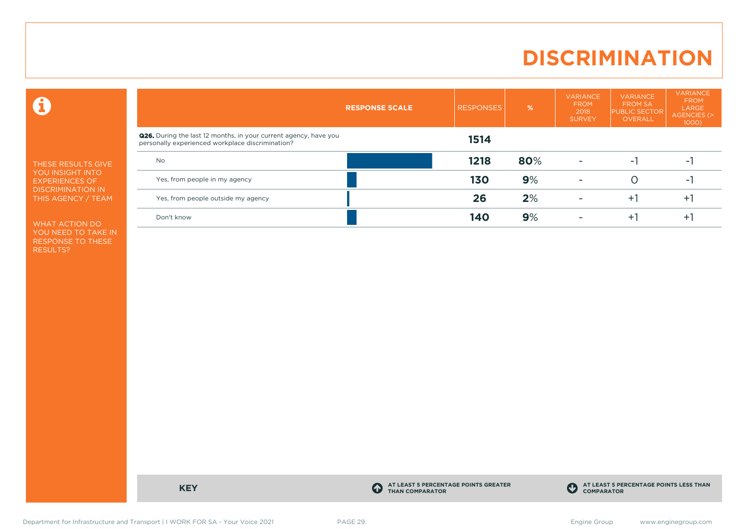# **DISCRIMINATION**

 $\mathbf \Omega$ 

THESE RESULTS GIVE YOU INSIGHT INTO EXPERIENCES OF DISCRIMINATION IN THIS AGENCY / TEAM

WHAT ACTION DO YOU NEED TO TAKE IN RESPONSE TO THESE RESULTS?

|                                                                                                                             | <b>RESPONSE SCALE</b> | <b>RESPONSES</b> | %   | <b>VARIANCE</b><br><b>FROM</b><br>2018<br><b>SURVEY</b> | <b>VARIANCE</b><br><b>FROM SA</b><br><b>PUBLIC SECTOR</b><br>OVERALL | <b>VARIANCE</b><br><b>FROM</b><br>LARGE<br>AGENCIES (><br>$1000$ ) |
|-----------------------------------------------------------------------------------------------------------------------------|-----------------------|------------------|-----|---------------------------------------------------------|----------------------------------------------------------------------|--------------------------------------------------------------------|
| <b>Q26.</b> During the last 12 months, in your current agency, have you<br>personally experienced workplace discrimination? |                       | 1514             |     |                                                         |                                                                      |                                                                    |
| <b>No</b>                                                                                                                   |                       | 1218             | 80% |                                                         | - 1                                                                  | -                                                                  |
| Yes, from people in my agency                                                                                               |                       | 130              | 9%  | $\overline{\phantom{a}}$                                |                                                                      | $\sim$                                                             |
| Yes, from people outside my agency                                                                                          |                       | 26               | 2%  |                                                         | $+1$                                                                 | $+$                                                                |
| Don't know                                                                                                                  |                       | 140              | 9%  |                                                         | ÷.                                                                   | $\pm$                                                              |

**KEY C** 

**AT LEAST 5 PERCENTAGE POINTS GREATER THAN COMPARATOR**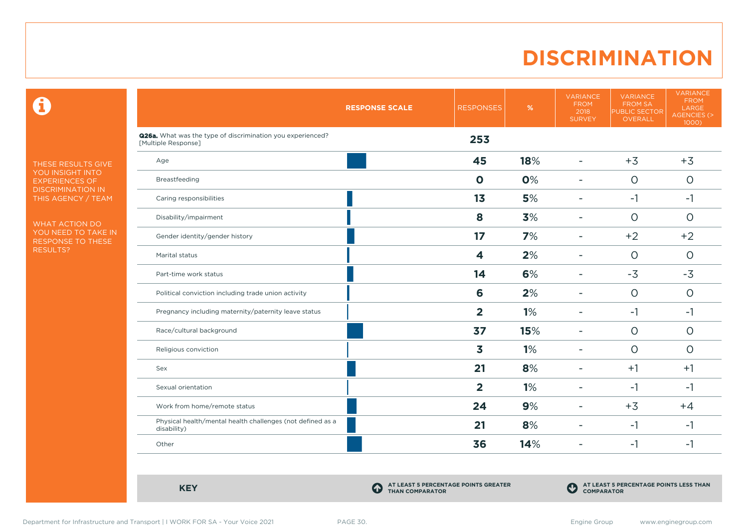# **DISCRIMINATION**

 $\mathbf \Theta$ 

THESE RESULTS GIVE YOU INSIGHT INTO EXPERIENCES OF DISCRIMINATION IN THIS AGENCY / TEAM

WHAT ACTION DO YOU NEED TO TAKE IN RESPONSE TO THESE RESULTS?

|                                                                                   | <b>RESPONSE SCALE</b> | <b>RESPONSES</b> | $\%$ | <b>VARIANCE</b><br><b>FROM</b><br>2018<br><b>SURVEY</b> | <b>VARIANCE</b><br><b>FROM SA</b><br><b>PUBLIC SECTOR</b><br>OVERALL | <b>VARIANCE</b><br><b>FROM</b><br>LARGE<br>AGENCIES (><br>1000) |
|-----------------------------------------------------------------------------------|-----------------------|------------------|------|---------------------------------------------------------|----------------------------------------------------------------------|-----------------------------------------------------------------|
| Q26a. What was the type of discrimination you experienced?<br>[Multiple Response] |                       | 253              |      |                                                         |                                                                      |                                                                 |
| Age                                                                               |                       | 45               | 18%  | $\blacksquare$                                          | $+3$                                                                 | $+3$                                                            |
| Breastfeeding                                                                     |                       | $\mathbf 0$      | 0%   | $\overline{\phantom{a}}$                                | $\circ$                                                              | $\circ$                                                         |
| Caring responsibilities                                                           |                       | 1 <sub>3</sub>   | 5%   | $\blacksquare$                                          | $-1$                                                                 | $-1$                                                            |
| Disability/impairment                                                             |                       | 8                | 3%   | $\overline{a}$                                          | $\circ$                                                              | $\circ$                                                         |
| Gender identity/gender history                                                    |                       | 17               | 7%   | $\overline{\phantom{0}}$                                | $+2$                                                                 | $+2$                                                            |
| Marital status                                                                    |                       | 4                | 2%   | $\overline{\phantom{0}}$                                | $\circ$                                                              | $\circ$                                                         |
| Part-time work status                                                             |                       | 14               | 6%   | $\blacksquare$                                          | $-3$                                                                 | $-3$                                                            |
| Political conviction including trade union activity                               |                       | 6                | 2%   | $\overline{\phantom{a}}$                                | $\circ$                                                              | $\circ$                                                         |
| Pregnancy including maternity/paternity leave status                              |                       | $\overline{2}$   | 1%   | $\blacksquare$                                          | $-1$                                                                 | $-1$                                                            |
| Race/cultural background                                                          |                       | 37               | 15%  | ÷                                                       | $\circ$                                                              | $\circ$                                                         |
| Religious conviction                                                              |                       | 3                | 1%   | $\blacksquare$                                          | $\circ$                                                              | $\Omega$                                                        |
| Sex                                                                               |                       | 21               | 8%   | ۰                                                       | $+1$                                                                 | $+1$                                                            |
| Sexual orientation                                                                |                       | $\overline{2}$   | 1%   | $\overline{\phantom{0}}$                                | $-1$                                                                 | $-1$                                                            |
| Work from home/remote status                                                      |                       | 24               | 9%   | $\overline{\phantom{0}}$                                | $+3$                                                                 | $+4$                                                            |
| Physical health/mental health challenges (not defined as a<br>disability)         |                       | 21               | 8%   | $\overline{\phantom{a}}$                                | $-1$                                                                 | -1                                                              |
| Other                                                                             |                       | 36               | 14%  | $\blacksquare$                                          | $-1$                                                                 | $-1$                                                            |

**KEY C** 

**AT LEAST 5 PERCENTAGE POINTS GREATER THAN COMPARATOR**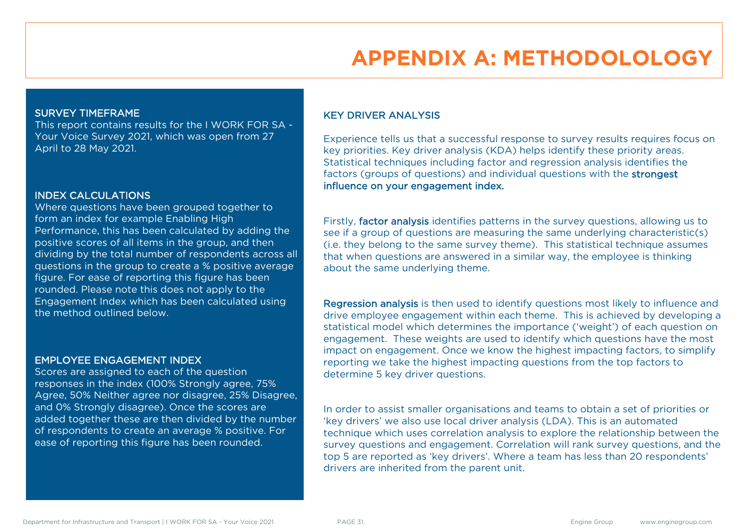# **APPENDIX A: METHODOLOLOGY**

#### SURVEY TIMEFRAME

This report contains results for the I WORK FOR SA - Your Voice Survey 2021, which was open from 27 April to 28 May 2021.

#### INDEX CALCULATIONS

Where questions have been grouped together to form an index for example Enabling High Performance, this has been calculated by adding the positive scores of all items in the group, and then dividing by the total number of respondents across all questions in the group to create a % positive average figure. For ease of reporting this figure has been rounded. Please note this does not apply to the Engagement Index which has been calculated using the method outlined below.

#### EMPLOYEE ENGAGEMENT INDEX

Scores are assigned to each of the question responses in the index (100% Strongly agree, 75% Agree, 50% Neither agree nor disagree, 25% Disagree, and 0% Strongly disagree). Once the scores are added together these are then divided by the number of respondents to create an average % positive. For ease of reporting this figure has been rounded.

### KEY DRIVER ANALYSIS

Experience tells us that a successful response to survey results requires focus on key priorities. Key driver analysis (KDA) helps identify these priority areas. Statistical techniques including factor and regression analysis identifies the factors (groups of questions) and individual questions with the strongest influence on your engagement index.

Firstly, factor analysis identifies patterns in the survey questions, allowing us to see if a group of questions are measuring the same underlying characteristic(s) (i.e. they belong to the same survey theme). This statistical technique assumes that when questions are answered in a similar way, the employee is thinking about the same underlying theme.

Regression analysis is then used to identify questions most likely to influence and drive employee engagement within each theme. This is achieved by developing a statistical model which determines the importance ('weight') of each question on engagement. These weights are used to identify which questions have the most impact on engagement. Once we know the highest impacting factors, to simplify reporting we take the highest impacting questions from the top factors to determine 5 key driver questions.

In order to assist smaller organisations and teams to obtain a set of priorities or 'key drivers' we also use local driver analysis (LDA). This is an automated technique which uses correlation analysis to explore the relationship between the survey questions and engagement. Correlation will rank survey questions, and the top 5 are reported as 'key drivers'. Where a team has less than 20 respondents' drivers are inherited from the parent unit.